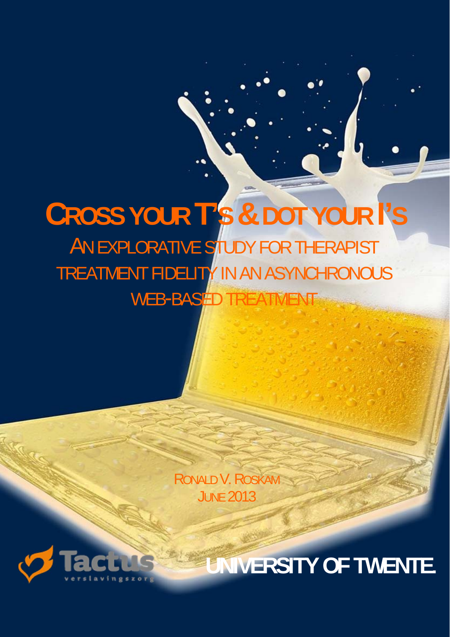# ֚֚֚֬ **CROSS YOUR T'S & DOT YOUR I'S** AN EXPLORATIVE STUDY FOR THERAPIST TREATMENT FIDELITY IN AN ASYNCHRONOUS WEB-BASED TREATM

RONALD V. ROSKAM **JUNE 2013** 



**UNIVERSITY OF TWENTE.**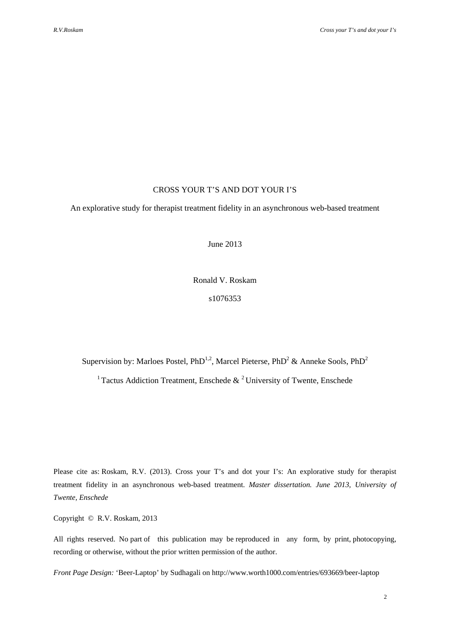# CROSS YOUR T'S AND DOT YOUR I'S

An explorative study for therapist treatment fidelity in an asynchronous web-based treatment

June 2013

Ronald V. Roskam s1076353

Supervision by: Marloes Postel, PhD<sup>1,2</sup>, Marcel Pieterse, PhD<sup>2</sup> & Anneke Sools, PhD<sup>2</sup>

<sup>1</sup> Tactus Addiction Treatment, Enschede  $\&$  <sup>2</sup> University of Twente, Enschede

Please cite as: Roskam, R.V. (2013). Cross your T's and dot your I's: An explorative study for therapist treatment fidelity in an asynchronous web-based treatment. *Master dissertation. June 2013, University of Twente, Enschede*

Copyright © R.V. Roskam, 2013

All rights reserved. No part of this publication may be reproduced in any form, by print, photocopying, recording or otherwise, without the prior written permission of the author.

*Front Page Design:* 'Beer-Laptop' by Sudhagali on http://www.worth1000.com/entries/693669/beer-laptop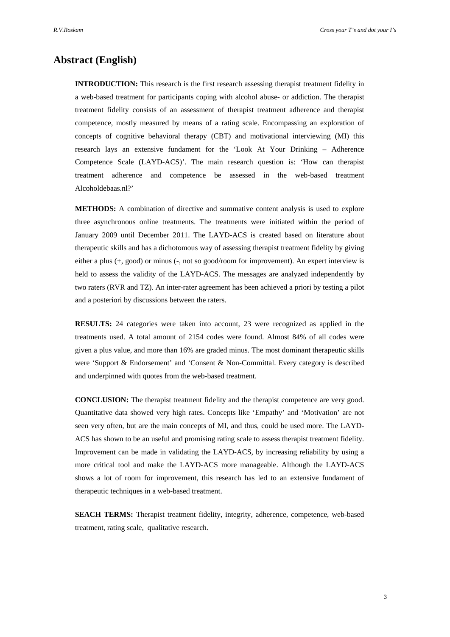# **Abstract (English)**

**INTRODUCTION:** This research is the first research assessing therapist treatment fidelity in a web-based treatment for participants coping with alcohol abuse- or addiction. The therapist treatment fidelity consists of an assessment of therapist treatment adherence and therapist competence, mostly measured by means of a rating scale. Encompassing an exploration of concepts of cognitive behavioral therapy (CBT) and motivational interviewing (MI) this research lays an extensive fundament for the 'Look At Your Drinking – Adherence Competence Scale (LAYD-ACS)'. The main research question is: 'How can therapist treatment adherence and competence be assessed in the web-based treatment Alcoholdebaas.nl?'

**METHODS:** A combination of directive and summative content analysis is used to explore three asynchronous online treatments. The treatments were initiated within the period of January 2009 until December 2011. The LAYD-ACS is created based on literature about therapeutic skills and has a dichotomous way of assessing therapist treatment fidelity by giving either a plus (+, good) or minus (-, not so good/room for improvement). An expert interview is held to assess the validity of the LAYD-ACS. The messages are analyzed independently by two raters (RVR and TZ). An inter-rater agreement has been achieved a priori by testing a pilot and a posteriori by discussions between the raters.

**RESULTS:** 24 categories were taken into account, 23 were recognized as applied in the treatments used. A total amount of 2154 codes were found. Almost 84% of all codes were given a plus value, and more than 16% are graded minus. The most dominant therapeutic skills were 'Support & Endorsement' and 'Consent & Non-Committal. Every category is described and underpinned with quotes from the web-based treatment.

**CONCLUSION:** The therapist treatment fidelity and the therapist competence are very good. Quantitative data showed very high rates. Concepts like 'Empathy' and 'Motivation' are not seen very often, but are the main concepts of MI, and thus, could be used more. The LAYD-ACS has shown to be an useful and promising rating scale to assess therapist treatment fidelity. Improvement can be made in validating the LAYD-ACS, by increasing reliability by using a more critical tool and make the LAYD-ACS more manageable. Although the LAYD-ACS shows a lot of room for improvement, this research has led to an extensive fundament of therapeutic techniques in a web-based treatment.

**SEACH TERMS:** Therapist treatment fidelity, integrity, adherence, competence, web-based treatment, rating scale, qualitative research.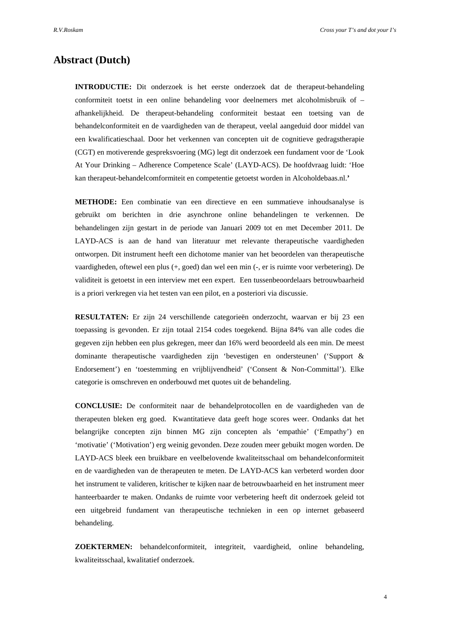# **Abstract (Dutch)**

**INTRODUCTIE:** Dit onderzoek is het eerste onderzoek dat de therapeut-behandeling conformiteit toetst in een online behandeling voor deelnemers met alcoholmisbruik of – afhankelijkheid. De therapeut-behandeling conformiteit bestaat een toetsing van de behandelconformiteit en de vaardigheden van de therapeut, veelal aangeduid door middel van een kwalificatieschaal. Door het verkennen van concepten uit de cognitieve gedragstherapie (CGT) en motiverende gespreksvoering (MG) legt dit onderzoek een fundament voor de 'Look At Your Drinking – Adherence Competence Scale' (LAYD-ACS). De hoofdvraag luidt: 'Hoe kan therapeut-behandelcomformiteit en competentie getoetst worden in Alcoholdebaas.nl.**'** 

**METHODE:** Een combinatie van een directieve en een summatieve inhoudsanalyse is gebruikt om berichten in drie asynchrone online behandelingen te verkennen. De behandelingen zijn gestart in de periode van Januari 2009 tot en met December 2011. De LAYD-ACS is aan de hand van literatuur met relevante therapeutische vaardigheden ontworpen. Dit instrument heeft een dichotome manier van het beoordelen van therapeutische vaardigheden, oftewel een plus (+, goed) dan wel een min (-, er is ruimte voor verbetering). De validiteit is getoetst in een interview met een expert. Een tussenbeoordelaars betrouwbaarheid is a priori verkregen via het testen van een pilot, en a posteriori via discussie.

**RESULTATEN:** Er zijn 24 verschillende categorieën onderzocht, waarvan er bij 23 een toepassing is gevonden. Er zijn totaal 2154 codes toegekend. Bijna 84% van alle codes die gegeven zijn hebben een plus gekregen, meer dan 16% werd beoordeeld als een min. De meest dominante therapeutische vaardigheden zijn 'bevestigen en ondersteunen' ('Support & Endorsement') en 'toestemming en vrijblijvendheid' ('Consent & Non-Committal'). Elke categorie is omschreven en onderbouwd met quotes uit de behandeling.

**CONCLUSIE:** De conformiteit naar de behandelprotocollen en de vaardigheden van de therapeuten bleken erg goed. Kwantitatieve data geeft hoge scores weer. Ondanks dat het belangrijke concepten zijn binnen MG zijn concepten als 'empathie' ('Empathy') en 'motivatie' ('Motivation') erg weinig gevonden. Deze zouden meer gebuikt mogen worden. De LAYD-ACS bleek een bruikbare en veelbelovende kwaliteitsschaal om behandelconformiteit en de vaardigheden van de therapeuten te meten. De LAYD-ACS kan verbeterd worden door het instrument te valideren, kritischer te kijken naar de betrouwbaarheid en het instrument meer hanteerbaarder te maken. Ondanks de ruimte voor verbetering heeft dit onderzoek geleid tot een uitgebreid fundament van therapeutische technieken in een op internet gebaseerd behandeling.

**ZOEKTERMEN:** behandelconformiteit, integriteit, vaardigheid, online behandeling, kwaliteitsschaal, kwalitatief onderzoek.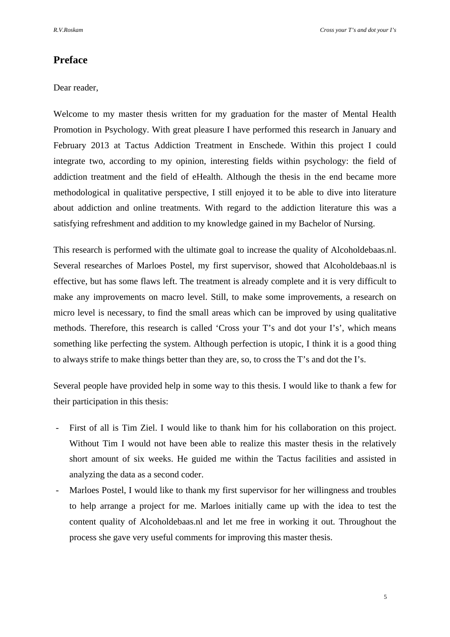# **Preface**

# Dear reader,

Welcome to my master thesis written for my graduation for the master of Mental Health Promotion in Psychology. With great pleasure I have performed this research in January and February 2013 at Tactus Addiction Treatment in Enschede. Within this project I could integrate two, according to my opinion, interesting fields within psychology: the field of addiction treatment and the field of eHealth. Although the thesis in the end became more methodological in qualitative perspective, I still enjoyed it to be able to dive into literature about addiction and online treatments. With regard to the addiction literature this was a satisfying refreshment and addition to my knowledge gained in my Bachelor of Nursing.

This research is performed with the ultimate goal to increase the quality of Alcoholdebaas.nl. Several researches of Marloes Postel, my first supervisor, showed that Alcoholdebaas.nl is effective, but has some flaws left. The treatment is already complete and it is very difficult to make any improvements on macro level. Still, to make some improvements, a research on micro level is necessary, to find the small areas which can be improved by using qualitative methods. Therefore, this research is called 'Cross your T's and dot your I's', which means something like perfecting the system. Although perfection is utopic, I think it is a good thing to always strife to make things better than they are, so, to cross the T's and dot the I's.

Several people have provided help in some way to this thesis. I would like to thank a few for their participation in this thesis:

- First of all is Tim Ziel. I would like to thank him for his collaboration on this project. Without Tim I would not have been able to realize this master thesis in the relatively short amount of six weeks. He guided me within the Tactus facilities and assisted in analyzing the data as a second coder.
- Marloes Postel, I would like to thank my first supervisor for her willingness and troubles to help arrange a project for me. Marloes initially came up with the idea to test the content quality of Alcoholdebaas.nl and let me free in working it out. Throughout the process she gave very useful comments for improving this master thesis.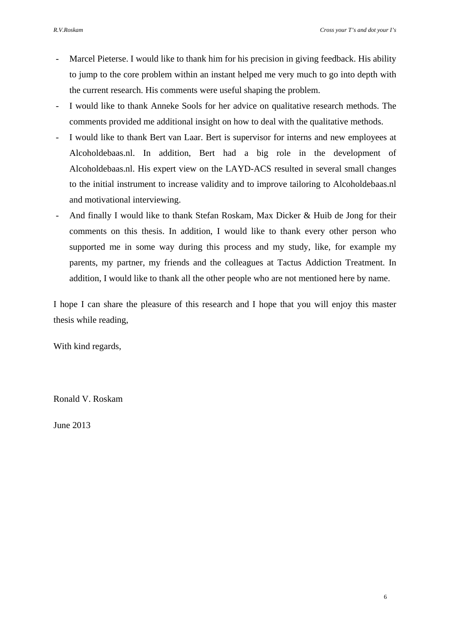- Marcel Pieterse. I would like to thank him for his precision in giving feedback. His ability to jump to the core problem within an instant helped me very much to go into depth with the current research. His comments were useful shaping the problem.
- I would like to thank Anneke Sools for her advice on qualitative research methods. The comments provided me additional insight on how to deal with the qualitative methods.
- I would like to thank Bert van Laar. Bert is supervisor for interns and new employees at Alcoholdebaas.nl. In addition, Bert had a big role in the development of Alcoholdebaas.nl. His expert view on the LAYD-ACS resulted in several small changes to the initial instrument to increase validity and to improve tailoring to Alcoholdebaas.nl and motivational interviewing.
- And finally I would like to thank Stefan Roskam, Max Dicker & Huib de Jong for their comments on this thesis. In addition, I would like to thank every other person who supported me in some way during this process and my study, like, for example my parents, my partner, my friends and the colleagues at Tactus Addiction Treatment. In addition, I would like to thank all the other people who are not mentioned here by name.

I hope I can share the pleasure of this research and I hope that you will enjoy this master thesis while reading,

With kind regards,

Ronald V. Roskam

June 2013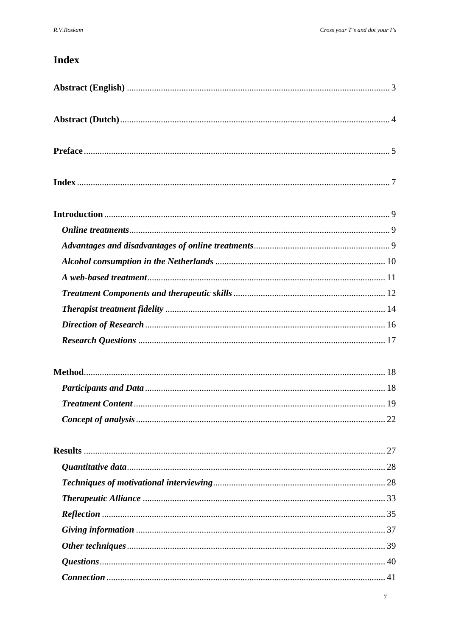# **Index**

| .22 |
|-----|
|     |
|     |
|     |
|     |
|     |
|     |
|     |
|     |
|     |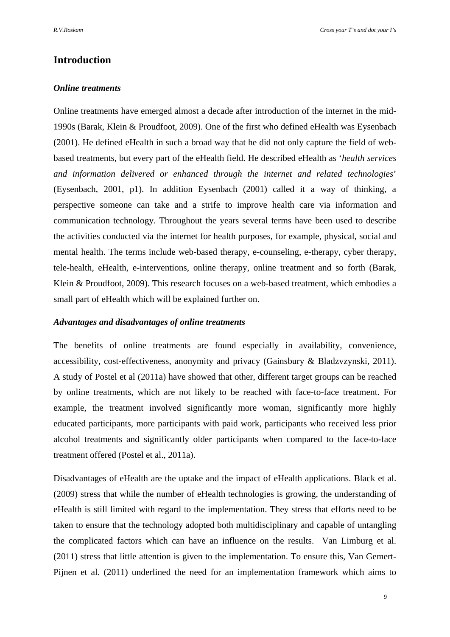# **Introduction**

# *Online treatments*

Online treatments have emerged almost a decade after introduction of the internet in the mid-1990s (Barak, Klein & Proudfoot, 2009). One of the first who defined eHealth was Eysenbach (2001). He defined eHealth in such a broad way that he did not only capture the field of webbased treatments, but every part of the eHealth field. He described eHealth as '*health services and information delivered or enhanced through the internet and related technologies*' (Eysenbach, 2001, p1). In addition Eysenbach (2001) called it a way of thinking, a perspective someone can take and a strife to improve health care via information and communication technology. Throughout the years several terms have been used to describe the activities conducted via the internet for health purposes, for example, physical, social and mental health. The terms include web-based therapy, e-counseling, e-therapy, cyber therapy, tele-health, eHealth, e-interventions, online therapy, online treatment and so forth (Barak, Klein & Proudfoot, 2009). This research focuses on a web-based treatment, which embodies a small part of eHealth which will be explained further on.

# *Advantages and disadvantages of online treatments*

The benefits of online treatments are found especially in availability, convenience, accessibility, cost-effectiveness, anonymity and privacy (Gainsbury & Bladzvzynski, 2011). A study of Postel et al (2011a) have showed that other, different target groups can be reached by online treatments, which are not likely to be reached with face-to-face treatment. For example, the treatment involved significantly more woman, significantly more highly educated participants, more participants with paid work, participants who received less prior alcohol treatments and significantly older participants when compared to the face-to-face treatment offered (Postel et al., 2011a).

Disadvantages of eHealth are the uptake and the impact of eHealth applications. Black et al. (2009) stress that while the number of eHealth technologies is growing, the understanding of eHealth is still limited with regard to the implementation. They stress that efforts need to be taken to ensure that the technology adopted both multidisciplinary and capable of untangling the complicated factors which can have an influence on the results. Van Limburg et al. (2011) stress that little attention is given to the implementation. To ensure this, Van Gemert-Pijnen et al. (2011) underlined the need for an implementation framework which aims to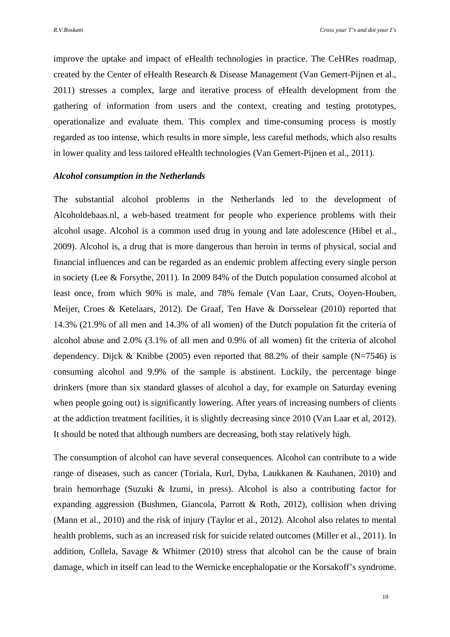improve the uptake and impact of eHealth technologies in practice. The CeHRes roadmap, created by the Center of eHealth Research & Disease Management (Van Gemert-Pijnen et al., 2011) stresses a complex, large and iterative process of eHealth development from the gathering of information from users and the context, creating and testing prototypes, operationalize and evaluate them. This complex and time-consuming process is mostly regarded as too intense, which results in more simple, less careful methods, which also results in lower quality and less tailored eHealth technologies (Van Gemert-Pijnen et al., 2011).

#### *Alcohol consumption in the Netherlands*

The substantial alcohol problems in the Netherlands led to the development of Alcoholdebaas.nl, a web-based treatment for people who experience problems with their alcohol usage. Alcohol is a common used drug in young and late adolescence (Hibel et al., 2009). Alcohol is, a drug that is more dangerous than heroin in terms of physical, social and financial influences and can be regarded as an endemic problem affecting every single person in society (Lee & Forsythe, 2011). In 2009 84% of the Dutch population consumed alcohol at least once, from which 90% is male, and 78% female (Van Laar, Cruts, Ooyen-Houben, Meijer, Croes & Ketelaars, 2012). De Graaf, Ten Have & Dorsselear (2010) reported that 14.3% (21.9% of all men and 14.3% of all women) of the Dutch population fit the criteria of alcohol abuse and 2.0% (3.1% of all men and 0.9% of all women) fit the criteria of alcohol dependency. Dijck & Knibbe (2005) even reported that  $88.2\%$  of their sample (N=7546) is consuming alcohol and 9.9% of the sample is abstinent. Luckily, the percentage binge drinkers (more than six standard glasses of alcohol a day, for example on Saturday evening when people going out) is significantly lowering. After years of increasing numbers of clients at the addiction treatment facilities, it is slightly decreasing since 2010 (Van Laar et al, 2012). It should be noted that although numbers are decreasing, both stay relatively high.

The consumption of alcohol can have several consequences. Alcohol can contribute to a wide range of diseases, such as cancer (Toriala, Kurl, Dyba, Laukkanen & Kauhanen, 2010) and brain hemorrhage (Suzuki & Izumi, in press). Alcohol is also a contributing factor for expanding aggression (Bushmen, Giancola, Parrott & Roth, 2012), collision when driving (Mann et al., 2010) and the risk of injury (Taylor et al., 2012). Alcohol also relates to mental health problems, such as an increased risk for suicide related outcomes (Miller et al., 2011). In addition, Collela, Savage & Whitmer (2010) stress that alcohol can be the cause of brain damage, which in itself can lead to the Wernicke encephalopatie or the Korsakoff's syndrome.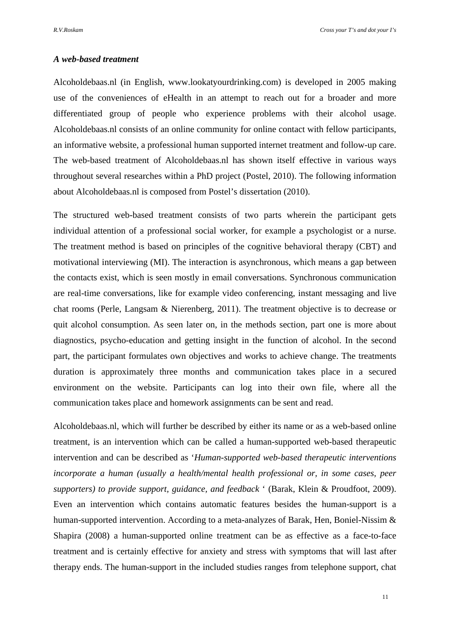# *A web-based treatment*

Alcoholdebaas.nl (in English, www.lookatyourdrinking.com) is developed in 2005 making use of the conveniences of eHealth in an attempt to reach out for a broader and more differentiated group of people who experience problems with their alcohol usage. Alcoholdebaas.nl consists of an online community for online contact with fellow participants, an informative website, a professional human supported internet treatment and follow-up care. The web-based treatment of Alcoholdebaas.nl has shown itself effective in various ways throughout several researches within a PhD project (Postel, 2010). The following information about Alcoholdebaas.nl is composed from Postel's dissertation (2010).

The structured web-based treatment consists of two parts wherein the participant gets individual attention of a professional social worker, for example a psychologist or a nurse. The treatment method is based on principles of the cognitive behavioral therapy (CBT) and motivational interviewing (MI). The interaction is asynchronous, which means a gap between the contacts exist, which is seen mostly in email conversations. Synchronous communication are real-time conversations, like for example video conferencing, instant messaging and live chat rooms (Perle, Langsam & Nierenberg, 2011). The treatment objective is to decrease or quit alcohol consumption. As seen later on, in the methods section, part one is more about diagnostics, psycho-education and getting insight in the function of alcohol. In the second part, the participant formulates own objectives and works to achieve change. The treatments duration is approximately three months and communication takes place in a secured environment on the website. Participants can log into their own file, where all the communication takes place and homework assignments can be sent and read.

Alcoholdebaas.nl, which will further be described by either its name or as a web-based online treatment, is an intervention which can be called a human-supported web-based therapeutic intervention and can be described as '*Human-supported web-based therapeutic interventions incorporate a human (usually a health/mental health professional or, in some cases, peer supporters) to provide support, guidance, and feedback* ' (Barak, Klein & Proudfoot, 2009). Even an intervention which contains automatic features besides the human-support is a human-supported intervention. According to a meta-analyzes of Barak, Hen, Boniel-Nissim & Shapira (2008) a human-supported online treatment can be as effective as a face-to-face treatment and is certainly effective for anxiety and stress with symptoms that will last after therapy ends. The human-support in the included studies ranges from telephone support, chat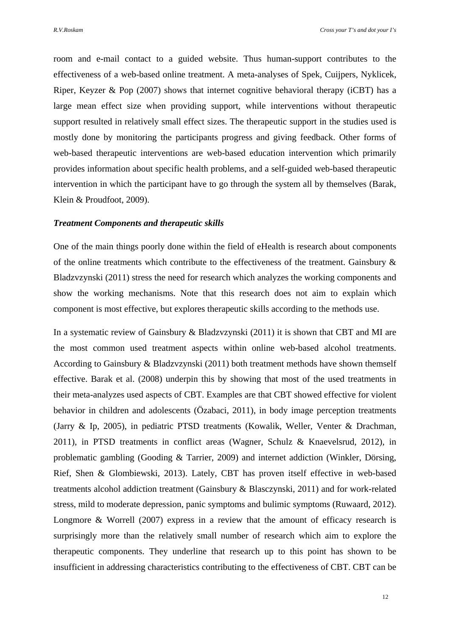room and e-mail contact to a guided website. Thus human-support contributes to the effectiveness of a web-based online treatment. A meta-analyses of Spek, Cuijpers, Nyklicek, Riper, Keyzer & Pop (2007) shows that internet cognitive behavioral therapy (iCBT) has a large mean effect size when providing support, while interventions without therapeutic support resulted in relatively small effect sizes. The therapeutic support in the studies used is mostly done by monitoring the participants progress and giving feedback. Other forms of web-based therapeutic interventions are web-based education intervention which primarily provides information about specific health problems, and a self-guided web-based therapeutic intervention in which the participant have to go through the system all by themselves (Barak, Klein & Proudfoot, 2009).

#### *Treatment Components and therapeutic skills*

One of the main things poorly done within the field of eHealth is research about components of the online treatments which contribute to the effectiveness of the treatment. Gainsbury & Bladzvzynski (2011) stress the need for research which analyzes the working components and show the working mechanisms. Note that this research does not aim to explain which component is most effective, but explores therapeutic skills according to the methods use.

In a systematic review of Gainsbury & Bladzvzynski (2011) it is shown that CBT and MI are the most common used treatment aspects within online web-based alcohol treatments. According to Gainsbury & Bladzvzynski (2011) both treatment methods have shown themself effective. Barak et al. (2008) underpin this by showing that most of the used treatments in their meta-analyzes used aspects of CBT. Examples are that CBT showed effective for violent behavior in children and adolescents (Özabaci, 2011), in body image perception treatments (Jarry & Ip, 2005), in pediatric PTSD treatments (Kowalik, Weller, Venter & Drachman, 2011), in PTSD treatments in conflict areas (Wagner, Schulz & Knaevelsrud, 2012), in problematic gambling (Gooding & Tarrier, 2009) and internet addiction (Winkler, Dörsing, Rief, Shen & Glombiewski, 2013). Lately, CBT has proven itself effective in web-based treatments alcohol addiction treatment (Gainsbury & Blasczynski, 2011) and for work-related stress, mild to moderate depression, panic symptoms and bulimic symptoms (Ruwaard, 2012). Longmore & Worrell (2007) express in a review that the amount of efficacy research is surprisingly more than the relatively small number of research which aim to explore the therapeutic components. They underline that research up to this point has shown to be insufficient in addressing characteristics contributing to the effectiveness of CBT. CBT can be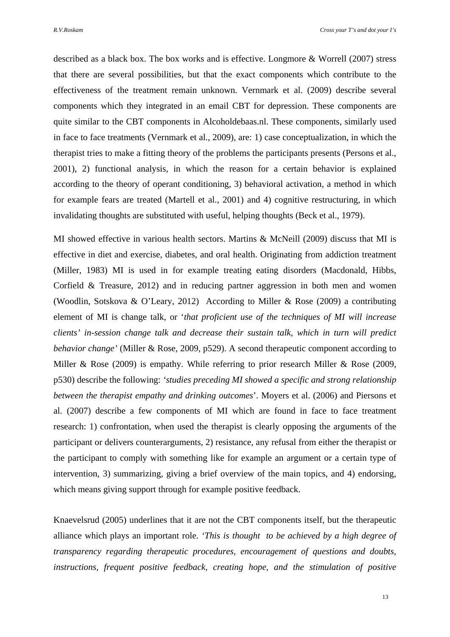described as a black box. The box works and is effective. Longmore & Worrell (2007) stress that there are several possibilities, but that the exact components which contribute to the effectiveness of the treatment remain unknown. Vernmark et al. (2009) describe several components which they integrated in an email CBT for depression. These components are quite similar to the CBT components in Alcoholdebaas.nl. These components, similarly used in face to face treatments (Vernmark et al., 2009), are: 1) case conceptualization, in which the therapist tries to make a fitting theory of the problems the participants presents (Persons et al., 2001), 2) functional analysis, in which the reason for a certain behavior is explained according to the theory of operant conditioning, 3) behavioral activation, a method in which for example fears are treated (Martell et al., 2001) and 4) cognitive restructuring, in which invalidating thoughts are substituted with useful, helping thoughts (Beck et al., 1979).

MI showed effective in various health sectors. Martins & McNeill (2009) discuss that MI is effective in diet and exercise, diabetes, and oral health. Originating from addiction treatment (Miller, 1983) MI is used in for example treating eating disorders (Macdonald, Hibbs, Corfield & Treasure, 2012) and in reducing partner aggression in both men and women (Woodlin, Sotskova & O'Leary, 2012) According to Miller & Rose (2009) a contributing element of MI is change talk, or '*that proficient use of the techniques of MI will increase clients' in-session change talk and decrease their sustain talk, which in turn will predict behavior change'* (Miller & Rose, 2009, p529). A second therapeutic component according to Miller & Rose (2009) is empathy. While referring to prior research Miller & Rose (2009, p530) describe the following: *'studies preceding MI showed a specific and strong relationship between the therapist empathy and drinking outcomes*'. Moyers et al. (2006) and Piersons et al. (2007) describe a few components of MI which are found in face to face treatment research: 1) confrontation, when used the therapist is clearly opposing the arguments of the participant or delivers counterarguments, 2) resistance, any refusal from either the therapist or the participant to comply with something like for example an argument or a certain type of intervention, 3) summarizing, giving a brief overview of the main topics, and 4) endorsing, which means giving support through for example positive feedback.

Knaevelsrud (2005) underlines that it are not the CBT components itself, but the therapeutic alliance which plays an important role. *'This is thought to be achieved by a high degree of transparency regarding therapeutic procedures, encouragement of questions and doubts, instructions, frequent positive feedback, creating hope, and the stimulation of positive*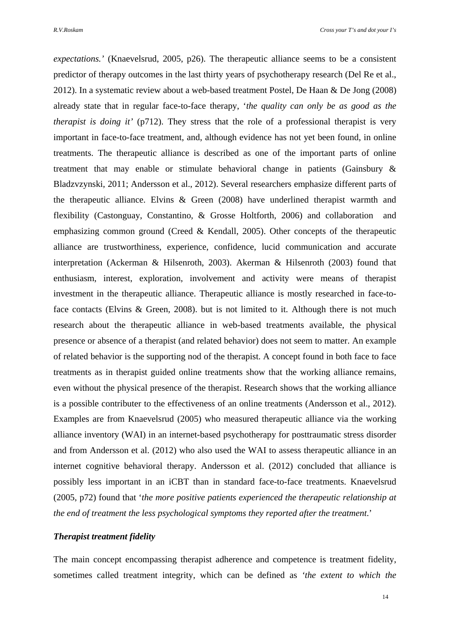*expectations.'* (Knaevelsrud, 2005, p26). The therapeutic alliance seems to be a consistent predictor of therapy outcomes in the last thirty years of psychotherapy research (Del Re et al., 2012). In a systematic review about a web-based treatment Postel, De Haan & De Jong (2008) already state that in regular face-to-face therapy, '*the quality can only be as good as the therapist is doing it'* (p712). They stress that the role of a professional therapist is very important in face-to-face treatment, and, although evidence has not yet been found, in online treatments. The therapeutic alliance is described as one of the important parts of online treatment that may enable or stimulate behavioral change in patients (Gainsbury & Bladzvzynski, 2011; Andersson et al., 2012). Several researchers emphasize different parts of the therapeutic alliance. Elvins & Green (2008) have underlined therapist warmth and flexibility (Castonguay, Constantino, & Grosse Holtforth, 2006) and collaboration and emphasizing common ground (Creed & Kendall, 2005). Other concepts of the therapeutic alliance are trustworthiness, experience, confidence, lucid communication and accurate interpretation (Ackerman & Hilsenroth, 2003). Akerman & Hilsenroth (2003) found that enthusiasm, interest, exploration, involvement and activity were means of therapist investment in the therapeutic alliance. Therapeutic alliance is mostly researched in face-toface contacts (Elvins & Green, 2008). but is not limited to it. Although there is not much research about the therapeutic alliance in web-based treatments available, the physical presence or absence of a therapist (and related behavior) does not seem to matter. An example of related behavior is the supporting nod of the therapist. A concept found in both face to face treatments as in therapist guided online treatments show that the working alliance remains, even without the physical presence of the therapist. Research shows that the working alliance is a possible contributer to the effectiveness of an online treatments (Andersson et al., 2012). Examples are from Knaevelsrud (2005) who measured therapeutic alliance via the working alliance inventory (WAI) in an internet-based psychotherapy for posttraumatic stress disorder and from Andersson et al. (2012) who also used the WAI to assess therapeutic alliance in an internet cognitive behavioral therapy. Andersson et al. (2012) concluded that alliance is possibly less important in an iCBT than in standard face-to-face treatments. Knaevelsrud (2005, p72) found that '*the more positive patients experienced the therapeutic relationship at the end of treatment the less psychological symptoms they reported after the treatment*.'

# *Therapist treatment fidelity*

The main concept encompassing therapist adherence and competence is treatment fidelity, sometimes called treatment integrity, which can be defined as *'the extent to which the*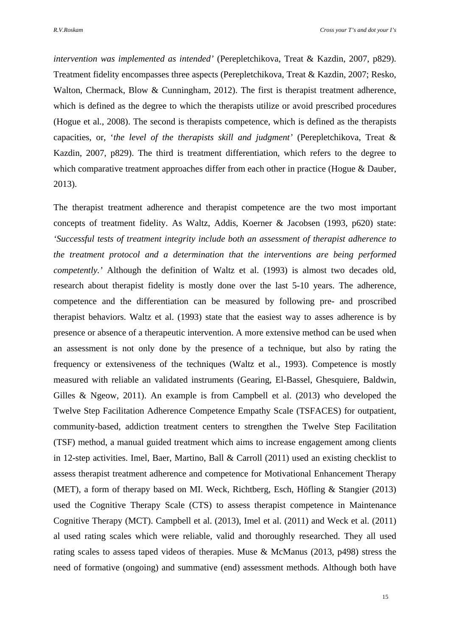*intervention was implemented as intended'* (Perepletchikova, Treat & Kazdin, 2007, p829). Treatment fidelity encompasses three aspects (Perepletchikova, Treat & Kazdin, 2007; Resko, Walton, Chermack, Blow & Cunningham, 2012). The first is therapist treatment adherence, which is defined as the degree to which the therapists utilize or avoid prescribed procedures (Hogue et al., 2008). The second is therapists competence, which is defined as the therapists capacities, or, '*the level of the therapists skill and judgment'* (Perepletchikova, Treat & Kazdin, 2007, p829). The third is treatment differentiation, which refers to the degree to which comparative treatment approaches differ from each other in practice (Hogue & Dauber, 2013).

The therapist treatment adherence and therapist competence are the two most important concepts of treatment fidelity. As Waltz, Addis, Koerner & Jacobsen (1993, p620) state: *'Successful tests of treatment integrity include both an assessment of therapist adherence to the treatment protocol and a determination that the interventions are being performed competently.'* Although the definition of Waltz et al. (1993) is almost two decades old, research about therapist fidelity is mostly done over the last 5-10 years. The adherence, competence and the differentiation can be measured by following pre- and proscribed therapist behaviors. Waltz et al. (1993) state that the easiest way to asses adherence is by presence or absence of a therapeutic intervention. A more extensive method can be used when an assessment is not only done by the presence of a technique, but also by rating the frequency or extensiveness of the techniques (Waltz et al., 1993). Competence is mostly measured with reliable an validated instruments (Gearing, El-Bassel, Ghesquiere, Baldwin, Gilles & Ngeow, 2011). An example is from Campbell et al. (2013) who developed the Twelve Step Facilitation Adherence Competence Empathy Scale (TSFACES) for outpatient, community-based, addiction treatment centers to strengthen the Twelve Step Facilitation (TSF) method, a manual guided treatment which aims to increase engagement among clients in 12-step activities. Imel, Baer, Martino, Ball & Carroll (2011) used an existing checklist to assess therapist treatment adherence and competence for Motivational Enhancement Therapy (MET), a form of therapy based on MI. Weck, Richtberg, Esch, Höfling & Stangier (2013) used the Cognitive Therapy Scale (CTS) to assess therapist competence in Maintenance Cognitive Therapy (MCT). Campbell et al. (2013), Imel et al. (2011) and Weck et al. (2011) al used rating scales which were reliable, valid and thoroughly researched. They all used rating scales to assess taped videos of therapies. Muse & McManus (2013, p498) stress the need of formative (ongoing) and summative (end) assessment methods. Although both have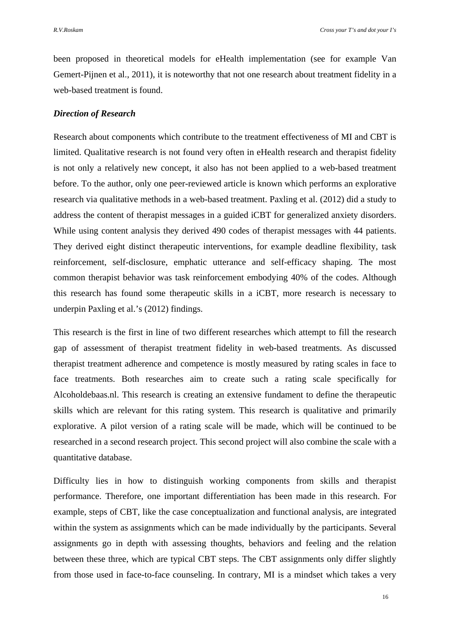been proposed in theoretical models for eHealth implementation (see for example Van Gemert-Pijnen et al., 2011), it is noteworthy that not one research about treatment fidelity in a web-based treatment is found.

# *Direction of Research*

Research about components which contribute to the treatment effectiveness of MI and CBT is limited. Qualitative research is not found very often in eHealth research and therapist fidelity is not only a relatively new concept, it also has not been applied to a web-based treatment before. To the author, only one peer-reviewed article is known which performs an explorative research via qualitative methods in a web-based treatment. Paxling et al. (2012) did a study to address the content of therapist messages in a guided iCBT for generalized anxiety disorders. While using content analysis they derived 490 codes of therapist messages with 44 patients. They derived eight distinct therapeutic interventions, for example deadline flexibility, task reinforcement, self-disclosure, emphatic utterance and self-efficacy shaping. The most common therapist behavior was task reinforcement embodying 40% of the codes. Although this research has found some therapeutic skills in a iCBT, more research is necessary to underpin Paxling et al.'s (2012) findings.

This research is the first in line of two different researches which attempt to fill the research gap of assessment of therapist treatment fidelity in web-based treatments. As discussed therapist treatment adherence and competence is mostly measured by rating scales in face to face treatments. Both researches aim to create such a rating scale specifically for Alcoholdebaas.nl. This research is creating an extensive fundament to define the therapeutic skills which are relevant for this rating system. This research is qualitative and primarily explorative. A pilot version of a rating scale will be made, which will be continued to be researched in a second research project. This second project will also combine the scale with a quantitative database.

Difficulty lies in how to distinguish working components from skills and therapist performance. Therefore, one important differentiation has been made in this research. For example, steps of CBT, like the case conceptualization and functional analysis, are integrated within the system as assignments which can be made individually by the participants. Several assignments go in depth with assessing thoughts, behaviors and feeling and the relation between these three, which are typical CBT steps. The CBT assignments only differ slightly from those used in face-to-face counseling. In contrary, MI is a mindset which takes a very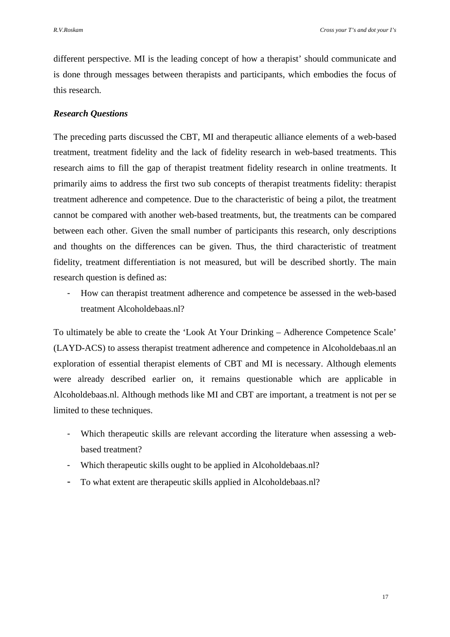different perspective. MI is the leading concept of how a therapist' should communicate and is done through messages between therapists and participants, which embodies the focus of this research.

# *Research Questions*

The preceding parts discussed the CBT, MI and therapeutic alliance elements of a web-based treatment, treatment fidelity and the lack of fidelity research in web-based treatments. This research aims to fill the gap of therapist treatment fidelity research in online treatments. It primarily aims to address the first two sub concepts of therapist treatments fidelity: therapist treatment adherence and competence. Due to the characteristic of being a pilot, the treatment cannot be compared with another web-based treatments, but, the treatments can be compared between each other. Given the small number of participants this research, only descriptions and thoughts on the differences can be given. Thus, the third characteristic of treatment fidelity, treatment differentiation is not measured, but will be described shortly. The main research question is defined as:

- How can therapist treatment adherence and competence be assessed in the web-based treatment Alcoholdebaas.nl?

To ultimately be able to create the 'Look At Your Drinking – Adherence Competence Scale' (LAYD-ACS) to assess therapist treatment adherence and competence in Alcoholdebaas.nl an exploration of essential therapist elements of CBT and MI is necessary. Although elements were already described earlier on, it remains questionable which are applicable in Alcoholdebaas.nl. Although methods like MI and CBT are important, a treatment is not per se limited to these techniques.

- Which therapeutic skills are relevant according the literature when assessing a webbased treatment?
- Which therapeutic skills ought to be applied in Alcoholdebaas.nl?
- To what extent are therapeutic skills applied in Alcoholdebaas.nl?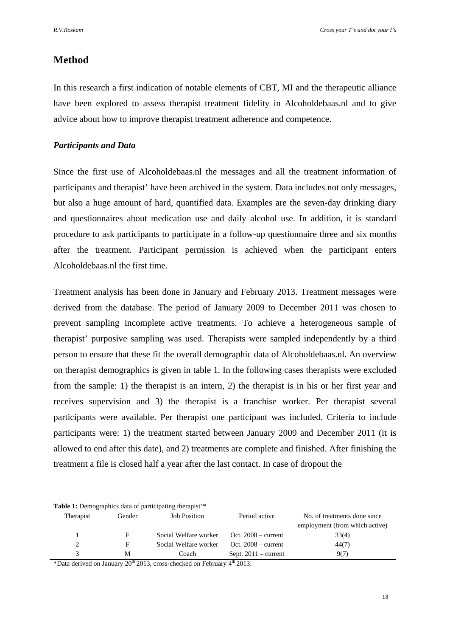# **Method**

In this research a first indication of notable elements of CBT, MI and the therapeutic alliance have been explored to assess therapist treatment fidelity in Alcoholdebaas.nl and to give advice about how to improve therapist treatment adherence and competence.

# *Participants and Data*

Since the first use of Alcoholdebaas.nl the messages and all the treatment information of participants and therapist' have been archived in the system. Data includes not only messages, but also a huge amount of hard, quantified data. Examples are the seven-day drinking diary and questionnaires about medication use and daily alcohol use. In addition, it is standard procedure to ask participants to participate in a follow-up questionnaire three and six months after the treatment. Participant permission is achieved when the participant enters Alcoholdebaas.nl the first time.

Treatment analysis has been done in January and February 2013. Treatment messages were derived from the database. The period of January 2009 to December 2011 was chosen to prevent sampling incomplete active treatments. To achieve a heterogeneous sample of therapist' purposive sampling was used. Therapists were sampled independently by a third person to ensure that these fit the overall demographic data of Alcoholdebaas.nl. An overview on therapist demographics is given in table 1. In the following cases therapists were excluded from the sample: 1) the therapist is an intern, 2) the therapist is in his or her first year and receives supervision and 3) the therapist is a franchise worker. Per therapist several participants were available. Per therapist one participant was included. Criteria to include participants were: 1) the treatment started between January 2009 and December 2011 (it is allowed to end after this date), and 2) treatments are complete and finished. After finishing the treatment a file is closed half a year after the last contact. In case of dropout the

| Therapist | Gender | <b>Job Position</b>   | Period active          | No. of treatments done since   |
|-----------|--------|-----------------------|------------------------|--------------------------------|
|           |        |                       |                        | employment (from which active) |
|           |        | Social Welfare worker | Oct. $2008 - current$  | 33(4)                          |
|           |        | Social Welfare worker | Oct. $2008 - current$  | 44(7)                          |
|           | М      | Coach                 | Sept. $2011 - current$ | 907                            |

\*Data derived on January 20th 2013, cross-checked on February 4th 2013.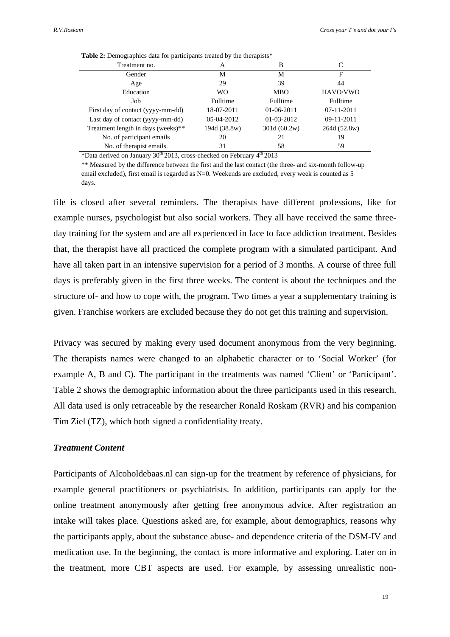| Treatment no.                      | A            | B               |                 |  |  |  |  |
|------------------------------------|--------------|-----------------|-----------------|--|--|--|--|
| Gender                             | М            | M               | F               |  |  |  |  |
| Age                                | 29           | 39              | 44              |  |  |  |  |
| Education                          | <b>WO</b>    | <b>MBO</b>      | HAVO/VWO        |  |  |  |  |
| Job                                | Fulltime     | <b>Fulltime</b> | <b>Fulltime</b> |  |  |  |  |
| First day of contact (yyyy-mm-dd)  | 18-07-2011   | $01-06-2011$    | $07-11-2011$    |  |  |  |  |
| Last day of contact (yyyy-mm-dd)   | 05-04-2012   | 01-03-2012      | 09-11-2011      |  |  |  |  |
| Treatment length in days (weeks)** | 194d (38.8w) | 301d (60.2w)    | 264d (52.8w)    |  |  |  |  |
| No. of participant emails          | 20           | 21              | 19              |  |  |  |  |
| No. of therapist emails.           | 31           | 58              | 59              |  |  |  |  |
|                                    |              | $\mathbf{a}$    |                 |  |  |  |  |

**Table 2:** Demographics data for participants treated by the therapists<sup>\*</sup>

\*Data derived on January  $30<sup>th</sup>$  2013, cross-checked on February  $4<sup>th</sup>$  2013

\*\* Measured by the difference between the first and the last contact (the three- and six-month follow-up email excluded), first email is regarded as N=0. Weekends are excluded, every week is counted as 5 days.

file is closed after several reminders. The therapists have different professions, like for example nurses, psychologist but also social workers. They all have received the same threeday training for the system and are all experienced in face to face addiction treatment. Besides that, the therapist have all practiced the complete program with a simulated participant. And have all taken part in an intensive supervision for a period of 3 months. A course of three full days is preferably given in the first three weeks. The content is about the techniques and the structure of- and how to cope with, the program. Two times a year a supplementary training is given. Franchise workers are excluded because they do not get this training and supervision.

Privacy was secured by making every used document anonymous from the very beginning. The therapists names were changed to an alphabetic character or to 'Social Worker' (for example A, B and C). The participant in the treatments was named 'Client' or 'Participant'. Table 2 shows the demographic information about the three participants used in this research. All data used is only retraceable by the researcher Ronald Roskam (RVR) and his companion Tim Ziel (TZ), which both signed a confidentiality treaty.

# *Treatment Content*

Participants of Alcoholdebaas.nl can sign-up for the treatment by reference of physicians, for example general practitioners or psychiatrists. In addition, participants can apply for the online treatment anonymously after getting free anonymous advice. After registration an intake will takes place. Questions asked are, for example, about demographics, reasons why the participants apply, about the substance abuse- and dependence criteria of the DSM-IV and medication use. In the beginning, the contact is more informative and exploring. Later on in the treatment, more CBT aspects are used. For example, by assessing unrealistic non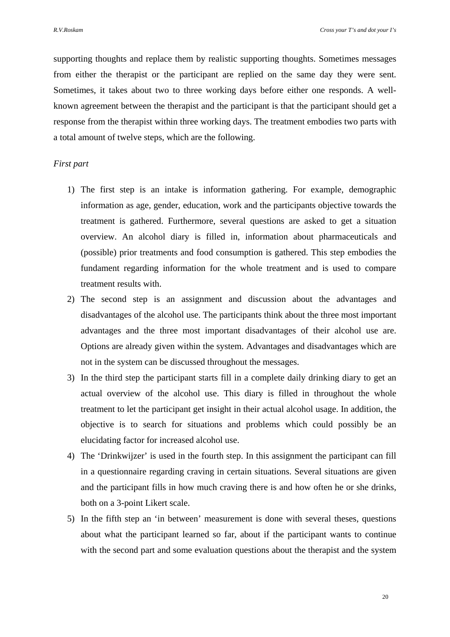supporting thoughts and replace them by realistic supporting thoughts. Sometimes messages from either the therapist or the participant are replied on the same day they were sent. Sometimes, it takes about two to three working days before either one responds. A wellknown agreement between the therapist and the participant is that the participant should get a response from the therapist within three working days. The treatment embodies two parts with a total amount of twelve steps, which are the following.

# *First part*

- 1) The first step is an intake is information gathering. For example, demographic information as age, gender, education, work and the participants objective towards the treatment is gathered. Furthermore, several questions are asked to get a situation overview. An alcohol diary is filled in, information about pharmaceuticals and (possible) prior treatments and food consumption is gathered. This step embodies the fundament regarding information for the whole treatment and is used to compare treatment results with.
- 2) The second step is an assignment and discussion about the advantages and disadvantages of the alcohol use. The participants think about the three most important advantages and the three most important disadvantages of their alcohol use are. Options are already given within the system. Advantages and disadvantages which are not in the system can be discussed throughout the messages.
- 3) In the third step the participant starts fill in a complete daily drinking diary to get an actual overview of the alcohol use. This diary is filled in throughout the whole treatment to let the participant get insight in their actual alcohol usage. In addition, the objective is to search for situations and problems which could possibly be an elucidating factor for increased alcohol use.
- 4) The 'Drinkwijzer' is used in the fourth step. In this assignment the participant can fill in a questionnaire regarding craving in certain situations. Several situations are given and the participant fills in how much craving there is and how often he or she drinks, both on a 3-point Likert scale.
- 5) In the fifth step an 'in between' measurement is done with several theses, questions about what the participant learned so far, about if the participant wants to continue with the second part and some evaluation questions about the therapist and the system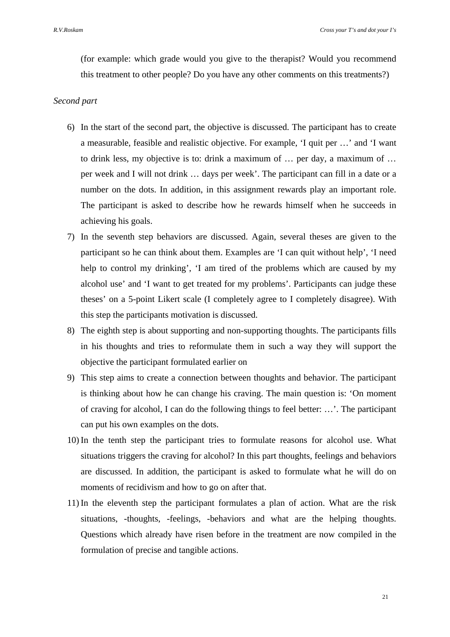(for example: which grade would you give to the therapist? Would you recommend this treatment to other people? Do you have any other comments on this treatments?)

# *Second part*

- 6) In the start of the second part, the objective is discussed. The participant has to create a measurable, feasible and realistic objective. For example, 'I quit per …' and 'I want to drink less, my objective is to: drink a maximum of … per day, a maximum of … per week and I will not drink … days per week'. The participant can fill in a date or a number on the dots. In addition, in this assignment rewards play an important role. The participant is asked to describe how he rewards himself when he succeeds in achieving his goals.
- 7) In the seventh step behaviors are discussed. Again, several theses are given to the participant so he can think about them. Examples are 'I can quit without help', 'I need help to control my drinking', 'I am tired of the problems which are caused by my alcohol use' and 'I want to get treated for my problems'. Participants can judge these theses' on a 5-point Likert scale (I completely agree to I completely disagree). With this step the participants motivation is discussed.
- 8) The eighth step is about supporting and non-supporting thoughts. The participants fills in his thoughts and tries to reformulate them in such a way they will support the objective the participant formulated earlier on
- 9) This step aims to create a connection between thoughts and behavior. The participant is thinking about how he can change his craving. The main question is: 'On moment of craving for alcohol, I can do the following things to feel better: …'. The participant can put his own examples on the dots.
- 10) In the tenth step the participant tries to formulate reasons for alcohol use. What situations triggers the craving for alcohol? In this part thoughts, feelings and behaviors are discussed. In addition, the participant is asked to formulate what he will do on moments of recidivism and how to go on after that.
- 11) In the eleventh step the participant formulates a plan of action. What are the risk situations, -thoughts, -feelings, -behaviors and what are the helping thoughts. Questions which already have risen before in the treatment are now compiled in the formulation of precise and tangible actions.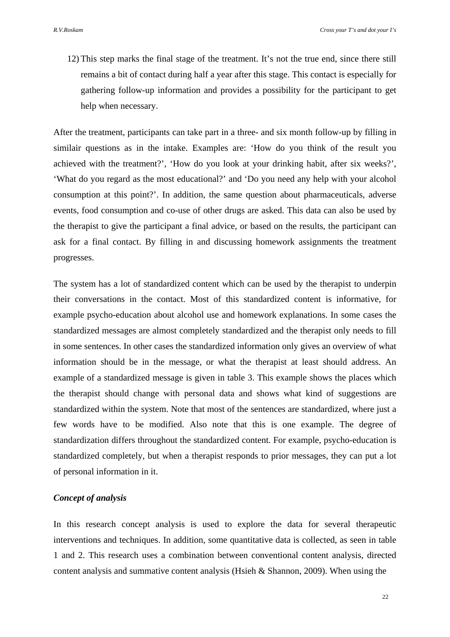12) This step marks the final stage of the treatment. It's not the true end, since there still remains a bit of contact during half a year after this stage. This contact is especially for gathering follow-up information and provides a possibility for the participant to get help when necessary.

After the treatment, participants can take part in a three- and six month follow-up by filling in similair questions as in the intake. Examples are: 'How do you think of the result you achieved with the treatment?', 'How do you look at your drinking habit, after six weeks?', 'What do you regard as the most educational?' and 'Do you need any help with your alcohol consumption at this point?'. In addition, the same question about pharmaceuticals, adverse events, food consumption and co-use of other drugs are asked. This data can also be used by the therapist to give the participant a final advice, or based on the results, the participant can ask for a final contact. By filling in and discussing homework assignments the treatment progresses.

The system has a lot of standardized content which can be used by the therapist to underpin their conversations in the contact. Most of this standardized content is informative, for example psycho-education about alcohol use and homework explanations. In some cases the standardized messages are almost completely standardized and the therapist only needs to fill in some sentences. In other cases the standardized information only gives an overview of what information should be in the message, or what the therapist at least should address. An example of a standardized message is given in table 3. This example shows the places which the therapist should change with personal data and shows what kind of suggestions are standardized within the system. Note that most of the sentences are standardized, where just a few words have to be modified. Also note that this is one example. The degree of standardization differs throughout the standardized content. For example, psycho-education is standardized completely, but when a therapist responds to prior messages, they can put a lot of personal information in it.

# *Concept of analysis*

In this research concept analysis is used to explore the data for several therapeutic interventions and techniques. In addition, some quantitative data is collected, as seen in table 1 and 2. This research uses a combination between conventional content analysis, directed content analysis and summative content analysis (Hsieh & Shannon, 2009). When using the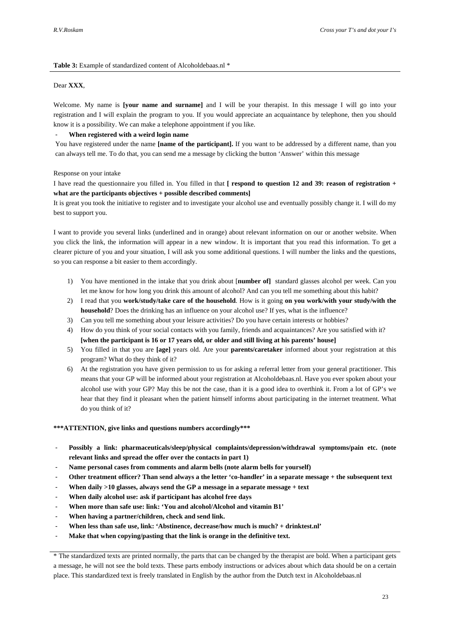#### **Table 3:** Example of standardized content of Alcoholdebaas.nl \*

#### Dear **XXX**,

Welcome. My name is **[your name and surname]** and I will be your therapist. In this message I will go into your registration and I will explain the program to you. If you would appreciate an acquaintance by telephone, then you should know it is a possibility. We can make a telephone appointment if you like.

#### - **When registered with a weird login name**

You have registered under the name **[name of the participant].** If you want to be addressed by a different name, than you can always tell me. To do that, you can send me a message by clicking the button 'Answer' within this message

#### Response on your intake

I have read the questionnaire you filled in. You filled in that **[ respond to question 12 and 39: reason of registration + what are the participants objectives + possible described comments]** 

It is great you took the initiative to register and to investigate your alcohol use and eventually possibly change it. I will do my best to support you.

I want to provide you several links (underlined and in orange) about relevant information on our or another website. When you click the link, the information will appear in a new window. It is important that you read this information. To get a clearer picture of you and your situation, I will ask you some additional questions. I will number the links and the questions, so you can response a bit easier to them accordingly.

- 1) You have mentioned in the intake that you drink about [**number of]** standard glasses alcohol per week. Can you let me know for how long you drink this amount of alcohol? And can you tell me something about this habit?
- 2) I read that you **work/study/take care of the household**. How is it going **on you work/with your study/with the household**? Does the drinking has an influence on your alcohol use? If yes, what is the influence?
- 3) Can you tell me something about your leisure activities? Do you have certain interests or hobbies?
- 4) How do you think of your social contacts with you family, friends and acquaintances? Are you satisfied with it? **[when the participant is 16 or 17 years old, or older and still living at his parents' house]**
- 5) You filled in that you are **[age]** years old. Are your **parents/caretaker** informed about your registration at this program? What do they think of it?
- 6) At the registration you have given permission to us for asking a referral letter from your general practitioner. This means that your GP will be informed about your registration at Alcoholdebaas.nl. Have you ever spoken about your alcohol use with your GP? May this be not the case, than it is a good idea to overthink it. From a lot of GP's we hear that they find it pleasant when the patient himself informs about participating in the internet treatment. What do you think of it?

#### **\*\*\*ATTENTION, give links and questions numbers accordingly\*\*\***

- **Possibly a link: pharmaceuticals/sleep/physical complaints/depression/withdrawal symptoms/pain etc. (note relevant links and spread the offer over the contacts in part 1)**
- Name personal cases from comments and alarm bells (note alarm bells for yourself)
- **Other treatment officer? Than send always a the letter 'co-handler' in a separate message + the subsequent text**
- When daily >10 glasses, always send the GP a message in a separate message + text
- **When daily alcohol use: ask if participant has alcohol free days**
- When more than safe use: link: 'You and alcohol/Alcohol and vitamin B1'
- When having a partner/children, check and send link.
- When less than safe use, link: 'Abstinence, decrease/how much is much? + drinktest.nl'
- Make that when copying/pasting that the link is orange in the definitive text.

<sup>\*</sup> The standardized texts are printed normally, the parts that can be changed by the therapist are bold. When a participant gets a message, he will not see the bold texts. These parts embody instructions or advices about which data should be on a certain place. This standardized text is freely translated in English by the author from the Dutch text in Alcoholdebaas.nl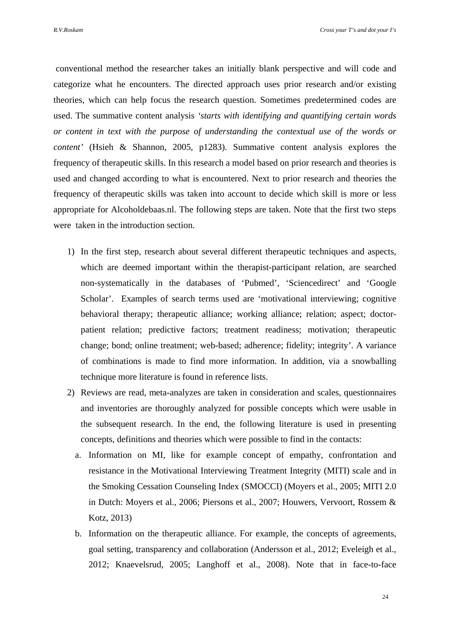conventional method the researcher takes an initially blank perspective and will code and categorize what he encounters. The directed approach uses prior research and/or existing theories, which can help focus the research question. Sometimes predetermined codes are used. The summative content analysis *'starts with identifying and quantifying certain words or content in text with the purpose of understanding the contextual use of the words or content'* (Hsieh & Shannon, 2005, p1283). Summative content analysis explores the frequency of therapeutic skills. In this research a model based on prior research and theories is used and changed according to what is encountered. Next to prior research and theories the frequency of therapeutic skills was taken into account to decide which skill is more or less appropriate for Alcoholdebaas.nl. The following steps are taken. Note that the first two steps were taken in the introduction section.

- 1) In the first step, research about several different therapeutic techniques and aspects, which are deemed important within the therapist-participant relation, are searched non-systematically in the databases of 'Pubmed', 'Sciencedirect' and 'Google Scholar'. Examples of search terms used are 'motivational interviewing; cognitive behavioral therapy; therapeutic alliance; working alliance; relation; aspect; doctorpatient relation; predictive factors; treatment readiness; motivation; therapeutic change; bond; online treatment; web-based; adherence; fidelity; integrity'. A variance of combinations is made to find more information. In addition, via a snowballing technique more literature is found in reference lists.
- 2) Reviews are read, meta-analyzes are taken in consideration and scales, questionnaires and inventories are thoroughly analyzed for possible concepts which were usable in the subsequent research. In the end, the following literature is used in presenting concepts, definitions and theories which were possible to find in the contacts:
	- a. Information on MI, like for example concept of empathy, confrontation and resistance in the Motivational Interviewing Treatment Integrity (MITI) scale and in the Smoking Cessation Counseling Index (SMOCCI) (Moyers et al., 2005; MITI 2.0 in Dutch: Moyers et al., 2006; Piersons et al., 2007; Houwers, Vervoort, Rossem & Kotz, 2013)
	- b. Information on the therapeutic alliance. For example, the concepts of agreements, goal setting, transparency and collaboration (Andersson et al., 2012; Eveleigh et al., 2012; Knaevelsrud, 2005; Langhoff et al., 2008). Note that in face-to-face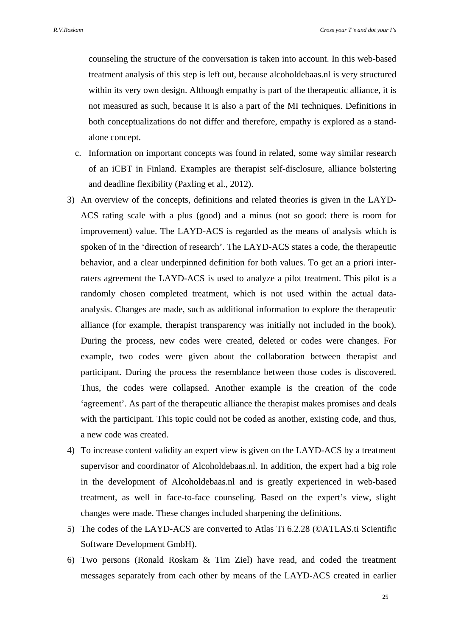counseling the structure of the conversation is taken into account. In this web-based treatment analysis of this step is left out, because alcoholdebaas.nl is very structured within its very own design. Although empathy is part of the therapeutic alliance, it is not measured as such, because it is also a part of the MI techniques. Definitions in both conceptualizations do not differ and therefore, empathy is explored as a standalone concept.

- c. Information on important concepts was found in related, some way similar research of an iCBT in Finland. Examples are therapist self-disclosure, alliance bolstering and deadline flexibility (Paxling et al., 2012).
- 3) An overview of the concepts, definitions and related theories is given in the LAYD-ACS rating scale with a plus (good) and a minus (not so good: there is room for improvement) value. The LAYD-ACS is regarded as the means of analysis which is spoken of in the 'direction of research'. The LAYD-ACS states a code, the therapeutic behavior, and a clear underpinned definition for both values. To get an a priori interraters agreement the LAYD-ACS is used to analyze a pilot treatment. This pilot is a randomly chosen completed treatment, which is not used within the actual dataanalysis. Changes are made, such as additional information to explore the therapeutic alliance (for example, therapist transparency was initially not included in the book). During the process, new codes were created, deleted or codes were changes. For example, two codes were given about the collaboration between therapist and participant. During the process the resemblance between those codes is discovered. Thus, the codes were collapsed. Another example is the creation of the code 'agreement'. As part of the therapeutic alliance the therapist makes promises and deals with the participant. This topic could not be coded as another, existing code, and thus, a new code was created.
- 4) To increase content validity an expert view is given on the LAYD-ACS by a treatment supervisor and coordinator of Alcoholdebaas.nl. In addition, the expert had a big role in the development of Alcoholdebaas.nl and is greatly experienced in web-based treatment, as well in face-to-face counseling. Based on the expert's view, slight changes were made. These changes included sharpening the definitions.
- 5) The codes of the LAYD-ACS are converted to Atlas Ti 6.2.28 (©ATLAS.ti Scientific Software Development GmbH).
- 6) Two persons (Ronald Roskam & Tim Ziel) have read, and coded the treatment messages separately from each other by means of the LAYD-ACS created in earlier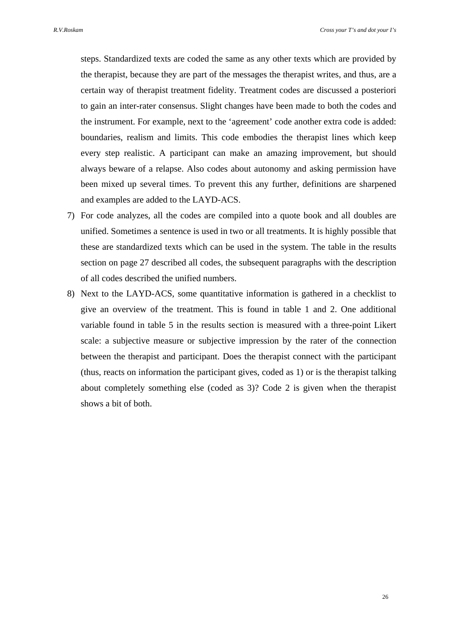steps. Standardized texts are coded the same as any other texts which are provided by the therapist, because they are part of the messages the therapist writes, and thus, are a certain way of therapist treatment fidelity. Treatment codes are discussed a posteriori to gain an inter-rater consensus. Slight changes have been made to both the codes and the instrument. For example, next to the 'agreement' code another extra code is added: boundaries, realism and limits. This code embodies the therapist lines which keep every step realistic. A participant can make an amazing improvement, but should always beware of a relapse. Also codes about autonomy and asking permission have been mixed up several times. To prevent this any further, definitions are sharpened and examples are added to the LAYD-ACS.

- 7) For code analyzes, all the codes are compiled into a quote book and all doubles are unified. Sometimes a sentence is used in two or all treatments. It is highly possible that these are standardized texts which can be used in the system. The table in the results section on page 27 described all codes, the subsequent paragraphs with the description of all codes described the unified numbers.
- 8) Next to the LAYD-ACS, some quantitative information is gathered in a checklist to give an overview of the treatment. This is found in table 1 and 2. One additional variable found in table 5 in the results section is measured with a three-point Likert scale: a subjective measure or subjective impression by the rater of the connection between the therapist and participant. Does the therapist connect with the participant (thus, reacts on information the participant gives, coded as 1) or is the therapist talking about completely something else (coded as 3)? Code 2 is given when the therapist shows a bit of both.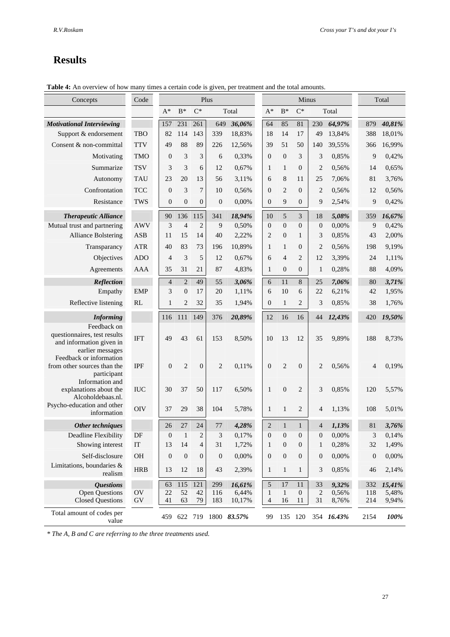# **Results**

**Table 4:** An overview of how many times a certain code is given, per treatment and the total amounts.

| Concepts                                                                                    | Code                       | Plus             |                  |                  | Minus            |                     |                                |                    |                    | Total            |                |            |                           |
|---------------------------------------------------------------------------------------------|----------------------------|------------------|------------------|------------------|------------------|---------------------|--------------------------------|--------------------|--------------------|------------------|----------------|------------|---------------------------|
|                                                                                             |                            | $A^*$            | $B^*$            | $C^*$            |                  | Total               | $A^*$                          | $\mathbf{B}^*$     | $C^*$              |                  | Total          |            |                           |
| <b>Motivational Interviewing</b>                                                            |                            | 157              | 231              | 261              | 649              | 36,06%              | 64                             | 85                 | 81                 | 230              | 64,97%         | 879        | 40,81%                    |
| Support & endorsement                                                                       | <b>TBO</b>                 | 82               | 114              | 143              | 339              | 18,83%              | 18                             | 14                 | 17                 | 49               | 13,84%         | 388        | 18,01%                    |
| Consent & non-committal                                                                     | <b>TTV</b>                 | 49               | 88               | 89               | 226              | 12,56%              | 39                             | 51                 | 50                 | 140              | 39,55%         | 366        | 16,99%                    |
| Motivating                                                                                  | <b>TMO</b>                 | 0                | 3                | 3                | 6                | 0,33%               | $\mathbf{0}$                   | $\boldsymbol{0}$   | 3                  | 3                | 0,85%          |            | 9<br>0,42%                |
| Summarize                                                                                   | <b>TSV</b>                 | 3                | 3                | 6                | 12               | 0,67%               | 1                              | 1                  | $\overline{0}$     | 2                | 0,56%          | 14         | 0,65%                     |
| Autonomy                                                                                    | <b>TAU</b>                 | 23               | 20               | 13               | 56               | 3,11%               | 6                              | 8                  | 11                 | 25               | 7,06%          | 81         | 3,76%                     |
| Confrontation                                                                               | <b>TCC</b>                 | $\boldsymbol{0}$ | 3                | $\overline{7}$   | 10               | 0,56%               | $\theta$                       | $\overline{2}$     | $\overline{0}$     | $\overline{2}$   | 0,56%          | 12         | 0,56%                     |
| Resistance                                                                                  | <b>TWS</b>                 | $\boldsymbol{0}$ | $\boldsymbol{0}$ | $\boldsymbol{0}$ | $\mathbf{0}$     | 0,00%               | $\mathbf{0}$                   | 9                  | $\boldsymbol{0}$   | 9                | 2,54%          | 9          | 0,42%                     |
| <b>Therapeutic Alliance</b>                                                                 |                            | 90               | 136              | 115              | 341              | 18,94%              | 10                             | 5                  | 3                  | 18               | 5,08%          | 359        | 16,67%                    |
| Mutual trust and partnering                                                                 | <b>AWV</b>                 | 3                | $\overline{4}$   | $\overline{2}$   | 9                | 0,50%               | $\boldsymbol{0}$               | $\overline{0}$     | $\overline{0}$     | $\theta$         | 0,00%          | 9          | 0,42%                     |
| <b>Alliance Bolstering</b>                                                                  | <b>ASB</b>                 | 11               | 15               | 14               | 40               | 2,22%               | $\overline{2}$                 | $\boldsymbol{0}$   | 1                  | 3                | 0,85%          | 43         | 2,00%                     |
| Transparancy                                                                                | <b>ATR</b>                 | 40               | 83               | 73               | 196              | 10,89%              | 1                              | $\mathbf{1}$       | $\overline{0}$     | 2                | 0,56%          | 198        | 9,19%                     |
| Objectives                                                                                  | <b>ADO</b>                 | 4                | 3                | 5                | 12               | 0,67%               | 6                              | 4                  | 2                  | 12               | 3,39%          | 24         | 1,11%                     |
| Agreements                                                                                  | AAA                        | 35               | 31               | 21               | 87               | 4,83%               | $\mathbf{1}$                   | $\boldsymbol{0}$   | $\boldsymbol{0}$   | 1                | 0,28%          | 88         | 4,09%                     |
| Reflection                                                                                  |                            | $\overline{4}$   | $\overline{2}$   | 49               | 55               | 3,06%               | 6                              | 11                 | 8                  | 25               | 7,06%          | 80         | 3,71%                     |
| Empathy                                                                                     | <b>EMP</b>                 | 3                | $\theta$         | 17               | 20               | 1,11%               | 6                              | 10                 | 6                  | 22               | 6,21%          | 42         | 1,95%                     |
| Reflective listening                                                                        | RL                         | 1                | $\overline{2}$   | 32               | 35               | 1,94%               | $\mathbf{0}$                   | $\mathbf{1}$       | 2                  | 3                | 0,85%          | 38         | 1,76%                     |
| <b>Informing</b>                                                                            |                            | 116              | 111              | 149              | 376              | 20,89%              | 12                             | 16                 | 16                 | 44               | 12,43%         | 420        | 19,50%                    |
| Feedback on<br>questionnaires, test results<br>and information given in<br>earlier messages | <b>IFT</b>                 | 49               | 43               | 61               | 153              | 8,50%               | 10                             | 13                 | 12                 | 35               | 9,89%          | 188        | 8,73%                     |
| Feedback or information<br>from other sources than the<br>participant<br>Information and    | <b>IPF</b>                 | $\boldsymbol{0}$ | $\overline{2}$   | $\boldsymbol{0}$ | $\overline{c}$   | 0,11%               | $\mathbf{0}$                   | $\overline{c}$     | $\mathbf{0}$       | $\overline{c}$   | 0,56%          |            | 4<br>0,19%                |
| explanations about the<br>Alcoholdebaas.nl.                                                 | <b>IUC</b>                 | 30               | 37               | 50               | 117              | 6,50%               | $\mathbf{1}$                   | $\overline{0}$     | $\overline{2}$     | 3                | 0,85%          | 120        | 5,57%                     |
| Psycho-education and other<br>information                                                   | <b>OIV</b>                 | 37               | 29               | 38               | 104              | 5,78%               | 1                              | $\mathbf{1}$       | 2                  | 4                | 1,13%          | 108        | 5,01%                     |
| Other techniques                                                                            |                            | 26               | 27               | 24               | 77               | 4,28%               | $\overline{2}$                 | $\mathbf{1}$       | $\mathbf{1}$       | 4                | 1,13%          | 81         | 3,76%                     |
| Deadline Flexibility                                                                        | $\ensuremath{\mathsf{DF}}$ | $\boldsymbol{0}$ | $\hat{1}$        | $\overline{c}$   | 3                | 0,17%               | $\boldsymbol{0}$               | $\boldsymbol{0}$   | $\boldsymbol{0}$   | $\boldsymbol{0}$ | 0,00%          |            | $3\quad 0,14\%$           |
| Showing interest                                                                            | IT                         | 13               | 14               | 4                | 31               | 1,72%               | 1                              | $\boldsymbol{0}$   | $\mathbf{0}$       | 1                | 0,28%          | 32         | 1,49%                     |
| Self-disclosure                                                                             | $\rm OH$                   | $\boldsymbol{0}$ | $\boldsymbol{0}$ | $\boldsymbol{0}$ | $\boldsymbol{0}$ | 0,00%               | $\boldsymbol{0}$               | $\boldsymbol{0}$   | $\mathbf{0}$       | $\boldsymbol{0}$ | 0,00%          |            | $\boldsymbol{0}$<br>0,00% |
| Limitations, boundaries &<br>realism                                                        | <b>HRB</b>                 | 13               | 12               | 18               | 43               | 2,39%               | $\mathbf{1}$                   | $\mathbf{1}$       | $\mathbf{1}$       | 3                | 0,85%          | 46         | 2,14%                     |
| <b>Questions</b>                                                                            |                            | 63               | 115              | 121              | 299              | 16,61%              | $\mathfrak{S}$                 | $17\,$             | 11                 | 33               | 9,32%          | 332        | 15,41%                    |
| <b>Open Questions</b><br><b>Closed Questions</b>                                            | OV<br>GV                   | 22<br>41         | 52<br>63         | 42<br>79         | 116<br>183       | 6,44%<br>10,17%     | $\mathbf{1}$<br>$\overline{4}$ | $\mathbf{1}$<br>16 | $\mathbf{0}$<br>11 | 2<br>31          | 0,56%<br>8,76% | 118<br>214 | 5,48%<br>9,94%            |
| Total amount of codes per<br>value                                                          |                            | 459              |                  |                  |                  | 622 719 1800 83.57% | 99                             |                    | 135 120            |                  | 354 16.43%     | 2154       | 100%                      |

*\* The A, B and C are referring to the three treatments used.*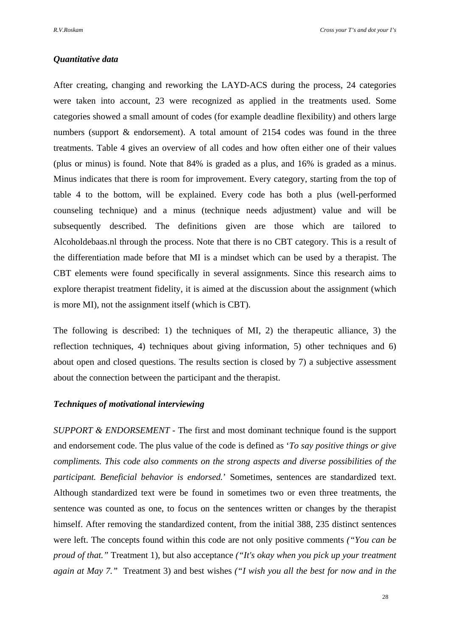## *Quantitative data*

After creating, changing and reworking the LAYD-ACS during the process, 24 categories were taken into account, 23 were recognized as applied in the treatments used. Some categories showed a small amount of codes (for example deadline flexibility) and others large numbers (support & endorsement). A total amount of 2154 codes was found in the three treatments. Table 4 gives an overview of all codes and how often either one of their values (plus or minus) is found. Note that 84% is graded as a plus, and 16% is graded as a minus. Minus indicates that there is room for improvement. Every category, starting from the top of table 4 to the bottom, will be explained. Every code has both a plus (well-performed counseling technique) and a minus (technique needs adjustment) value and will be subsequently described. The definitions given are those which are tailored to Alcoholdebaas.nl through the process. Note that there is no CBT category. This is a result of the differentiation made before that MI is a mindset which can be used by a therapist. The CBT elements were found specifically in several assignments. Since this research aims to explore therapist treatment fidelity, it is aimed at the discussion about the assignment (which is more MI), not the assignment itself (which is CBT).

The following is described: 1) the techniques of MI, 2) the therapeutic alliance, 3) the reflection techniques, 4) techniques about giving information, 5) other techniques and 6) about open and closed questions. The results section is closed by 7) a subjective assessment about the connection between the participant and the therapist.

## *Techniques of motivational interviewing*

*SUPPORT & ENDORSEMENT -* The first and most dominant technique found is the support and endorsement code. The plus value of the code is defined as '*To say positive things or give compliments. This code also comments on the strong aspects and diverse possibilities of the participant. Beneficial behavior is endorsed.*' Sometimes, sentences are standardized text. Although standardized text were be found in sometimes two or even three treatments, the sentence was counted as one, to focus on the sentences written or changes by the therapist himself. After removing the standardized content, from the initial 388, 235 distinct sentences were left. The concepts found within this code are not only positive comments *("You can be proud of that."* Treatment 1), but also acceptance *("It's okay when you pick up your treatment again at May 7."* Treatment 3) and best wishes *("I wish you all the best for now and in the*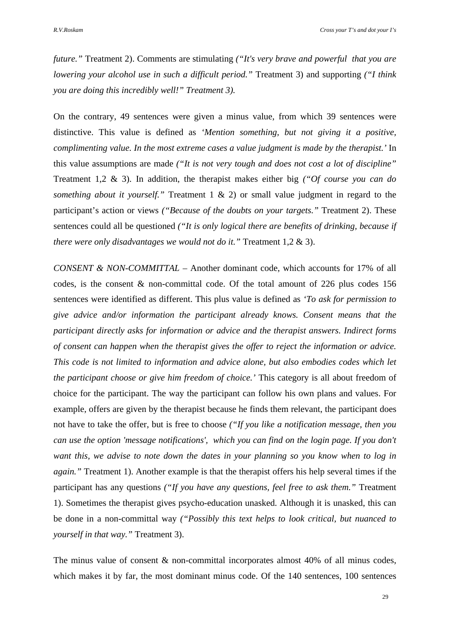*future."* Treatment 2). Comments are stimulating *("It's very brave and powerful that you are lowering your alcohol use in such a difficult period."* Treatment 3) and supporting *("I think you are doing this incredibly well!" Treatment 3).*

On the contrary, 49 sentences were given a minus value, from which 39 sentences were distinctive. This value is defined as *'Mention something, but not giving it a positive, complimenting value. In the most extreme cases a value judgment is made by the therapist.'* In this value assumptions are made *("It is not very tough and does not cost a lot of discipline"* Treatment 1,2 & 3). In addition, the therapist makes either big *("Of course you can do something about it yourself."* Treatment 1 & 2) or small value judgment in regard to the participant's action or views *("Because of the doubts on your targets."* Treatment 2). These sentences could all be questioned *("It is only logical there are benefits of drinking, because if there were only disadvantages we would not do it."* Treatment 1,2 & 3).

*CONSENT & NON-COMMITTAL* – Another dominant code, which accounts for 17% of all codes, is the consent  $\&$  non-committal code. Of the total amount of 226 plus codes 156 sentences were identified as different. This plus value is defined as *'To ask for permission to give advice and/or information the participant already knows. Consent means that the participant directly asks for information or advice and the therapist answers. Indirect forms of consent can happen when the therapist gives the offer to reject the information or advice. This code is not limited to information and advice alone, but also embodies codes which let the participant choose or give him freedom of choice.'* This category is all about freedom of choice for the participant. The way the participant can follow his own plans and values. For example, offers are given by the therapist because he finds them relevant, the participant does not have to take the offer, but is free to choose *("If you like a notification message, then you can use the option 'message notifications', which you can find on the login page. If you don't want this, we advise to note down the dates in your planning so you know when to log in again."* Treatment 1). Another example is that the therapist offers his help several times if the participant has any questions *("If you have any questions, feel free to ask them."* Treatment 1). Sometimes the therapist gives psycho-education unasked. Although it is unasked, this can be done in a non-committal way *("Possibly this text helps to look critical, but nuanced to yourself in that way."* Treatment 3).

The minus value of consent & non-committal incorporates almost 40% of all minus codes, which makes it by far, the most dominant minus code. Of the 140 sentences, 100 sentences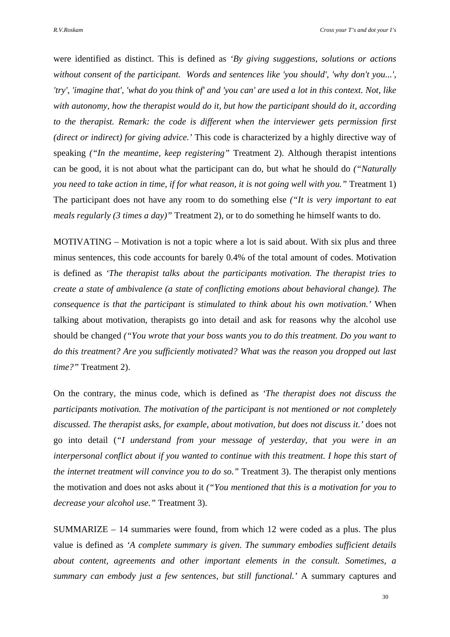were identified as distinct. This is defined as *'By giving suggestions, solutions or actions without consent of the participant. Words and sentences like 'you should', 'why don't you...', 'try', 'imagine that', 'what do you think of' and 'you can' are used a lot in this context. Not, like with autonomy, how the therapist would do it, but how the participant should do it, according to the therapist. Remark: the code is different when the interviewer gets permission first (direct or indirect) for giving advice.'* This code is characterized by a highly directive way of speaking *("In the meantime, keep registering"* Treatment 2). Although therapist intentions can be good, it is not about what the participant can do, but what he should do *("Naturally you need to take action in time, if for what reason, it is not going well with you."* Treatment 1) The participant does not have any room to do something else *("It is very important to eat meals regularly (3 times a day)"* Treatment 2), or to do something he himself wants to do.

MOTIVATING – Motivation is not a topic where a lot is said about. With six plus and three minus sentences, this code accounts for barely 0.4% of the total amount of codes. Motivation is defined as *'The therapist talks about the participants motivation. The therapist tries to create a state of ambivalence (a state of conflicting emotions about behavioral change). The consequence is that the participant is stimulated to think about his own motivation.'* When talking about motivation, therapists go into detail and ask for reasons why the alcohol use should be changed *("You wrote that your boss wants you to do this treatment. Do you want to do this treatment? Are you sufficiently motivated? What was the reason you dropped out last time?"* Treatment 2).

On the contrary, the minus code, which is defined as *'The therapist does not discuss the participants motivation. The motivation of the participant is not mentioned or not completely discussed. The therapist asks, for example, about motivation, but does not discuss it.'* does not go into detail (*"I understand from your message of yesterday, that you were in an interpersonal conflict about if you wanted to continue with this treatment. I hope this start of the internet treatment will convince you to do so.*" Treatment 3). The therapist only mentions the motivation and does not asks about it *("You mentioned that this is a motivation for you to decrease your alcohol use."* Treatment 3).

SUMMARIZE – 14 summaries were found, from which 12 were coded as a plus. The plus value is defined as *'A complete summary is given. The summary embodies sufficient details about content, agreements and other important elements in the consult. Sometimes, a summary can embody just a few sentences, but still functional.'* A summary captures and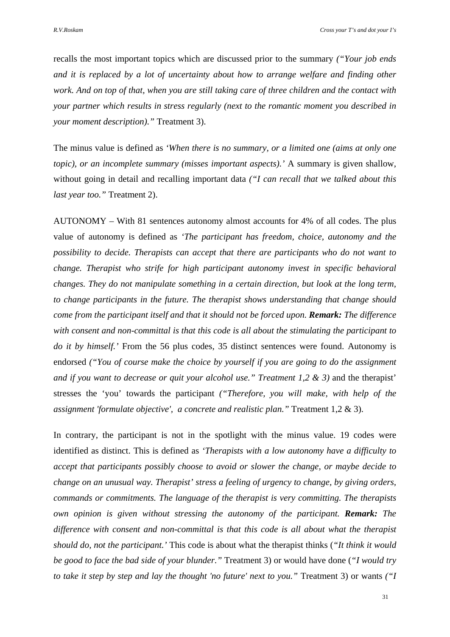recalls the most important topics which are discussed prior to the summary *("Your job ends and it is replaced by a lot of uncertainty about how to arrange welfare and finding other work. And on top of that, when you are still taking care of three children and the contact with your partner which results in stress regularly (next to the romantic moment you described in your moment description)."* Treatment 3).

The minus value is defined as *'When there is no summary, or a limited one (aims at only one topic), or an incomplete summary (misses important aspects).'* A summary is given shallow, without going in detail and recalling important data *("I can recall that we talked about this last year too."* Treatment 2).

AUTONOMY – With 81 sentences autonomy almost accounts for 4% of all codes. The plus value of autonomy is defined as *'The participant has freedom, choice, autonomy and the possibility to decide. Therapists can accept that there are participants who do not want to change. Therapist who strife for high participant autonomy invest in specific behavioral changes. They do not manipulate something in a certain direction, but look at the long term, to change participants in the future. The therapist shows understanding that change should come from the participant itself and that it should not be forced upon. Remark: The difference with consent and non-committal is that this code is all about the stimulating the participant to do it by himself.'* From the 56 plus codes, 35 distinct sentences were found. Autonomy is endorsed *("You of course make the choice by yourself if you are going to do the assignment and if you want to decrease or quit your alcohol use." Treatment 1,2 & 3)* and the therapist' stresses the 'you' towards the participant *("Therefore, you will make, with help of the assignment 'formulate objective', a concrete and realistic plan."* Treatment 1,2 & 3).

In contrary, the participant is not in the spotlight with the minus value. 19 codes were identified as distinct. This is defined as *'Therapists with a low autonomy have a difficulty to accept that participants possibly choose to avoid or slower the change, or maybe decide to change on an unusual way. Therapist' stress a feeling of urgency to change, by giving orders, commands or commitments. The language of the therapist is very committing. The therapists own opinion is given without stressing the autonomy of the participant. Remark: The difference with consent and non-committal is that this code is all about what the therapist should do, not the participant.'* This code is about what the therapist thinks (*"It think it would be good to face the bad side of your blunder."* Treatment 3) or would have done (*"I would try to take it step by step and lay the thought 'no future' next to you."* Treatment 3) or wants *("I*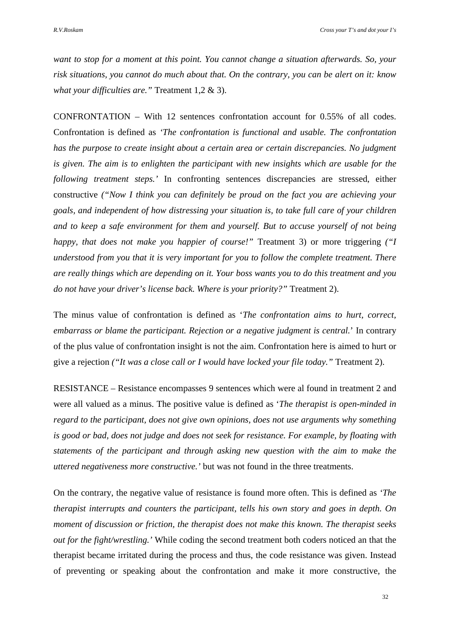*want to stop for a moment at this point. You cannot change a situation afterwards. So, your risk situations, you cannot do much about that. On the contrary, you can be alert on it: know what your difficulties are."* Treatment 1,2 & 3).

CONFRONTATION – With 12 sentences confrontation account for 0.55% of all codes. Confrontation is defined as *'The confrontation is functional and usable. The confrontation has the purpose to create insight about a certain area or certain discrepancies. No judgment is given. The aim is to enlighten the participant with new insights which are usable for the following treatment steps.'* In confronting sentences discrepancies are stressed, either constructive *("Now I think you can definitely be proud on the fact you are achieving your goals, and independent of how distressing your situation is, to take full care of your children and to keep a safe environment for them and yourself. But to accuse yourself of not being happy, that does not make you happier of course!"* Treatment 3) or more triggering *("I understood from you that it is very important for you to follow the complete treatment. There are really things which are depending on it. Your boss wants you to do this treatment and you do not have your driver's license back. Where is your priority?"* Treatment 2).

The minus value of confrontation is defined as '*The confrontation aims to hurt, correct, embarrass or blame the participant. Rejection or a negative judgment is central.*' In contrary of the plus value of confrontation insight is not the aim. Confrontation here is aimed to hurt or give a rejection *("It was a close call or I would have locked your file today."* Treatment 2).

RESISTANCE – Resistance encompasses 9 sentences which were al found in treatment 2 and were all valued as a minus. The positive value is defined as '*The therapist is open-minded in regard to the participant, does not give own opinions, does not use arguments why something is good or bad, does not judge and does not seek for resistance. For example, by floating with statements of the participant and through asking new question with the aim to make the uttered negativeness more constructive.'* but was not found in the three treatments.

On the contrary, the negative value of resistance is found more often. This is defined as *'The therapist interrupts and counters the participant, tells his own story and goes in depth. On moment of discussion or friction, the therapist does not make this known. The therapist seeks out for the fight/wrestling.'* While coding the second treatment both coders noticed an that the therapist became irritated during the process and thus, the code resistance was given. Instead of preventing or speaking about the confrontation and make it more constructive, the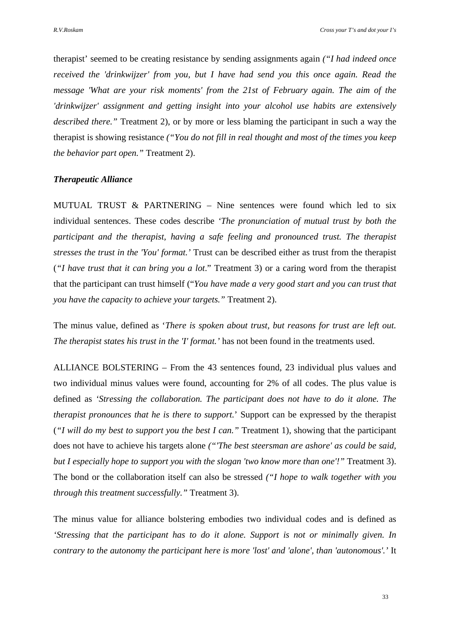therapist' seemed to be creating resistance by sending assignments again *("I had indeed once received the 'drinkwijzer' from you, but I have had send you this once again. Read the message 'What are your risk moments' from the 21st of February again. The aim of the 'drinkwijzer' assignment and getting insight into your alcohol use habits are extensively described there."* Treatment 2), or by more or less blaming the participant in such a way the therapist is showing resistance *("You do not fill in real thought and most of the times you keep the behavior part open."* Treatment 2).

# *Therapeutic Alliance*

MUTUAL TRUST & PARTNERING – Nine sentences were found which led to six individual sentences. These codes describe *'The pronunciation of mutual trust by both the participant and the therapist, having a safe feeling and pronounced trust. The therapist stresses the trust in the 'You' format.'* Trust can be described either as trust from the therapist (*"I have trust that it can bring you a lot*." Treatment 3) or a caring word from the therapist that the participant can trust himself ("*You have made a very good start and you can trust that you have the capacity to achieve your targets."* Treatment 2).

The minus value, defined as '*There is spoken about trust, but reasons for trust are left out. The therapist states his trust in the 'I' format.'* has not been found in the treatments used.

ALLIANCE BOLSTERING – From the 43 sentences found, 23 individual plus values and two individual minus values were found, accounting for 2% of all codes. The plus value is defined as *'Stressing the collaboration. The participant does not have to do it alone. The therapist pronounces that he is there to support.*' Support can be expressed by the therapist (*"I will do my best to support you the best I can."* Treatment 1), showing that the participant does not have to achieve his targets alone *("'The best steersman are ashore' as could be said, but I especially hope to support you with the slogan 'two know more than one'!"* Treatment 3). The bond or the collaboration itself can also be stressed *("I hope to walk together with you through this treatment successfully."* Treatment 3).

The minus value for alliance bolstering embodies two individual codes and is defined as *'Stressing that the participant has to do it alone. Support is not or minimally given. In contrary to the autonomy the participant here is more 'lost' and 'alone', than 'autonomous'.'* It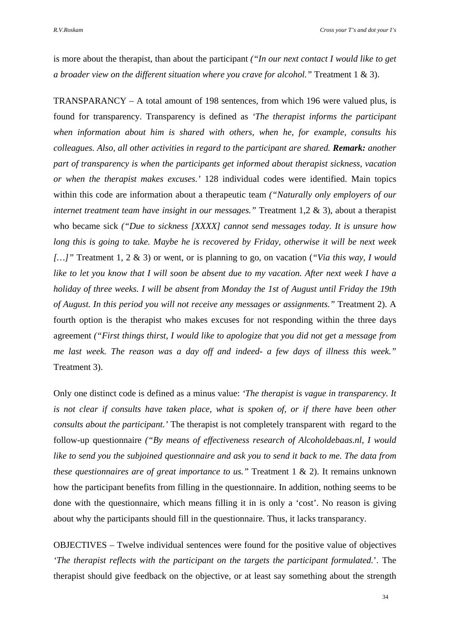is more about the therapist, than about the participant *("In our next contact I would like to get a broader view on the different situation where you crave for alcohol."* Treatment 1 & 3).

TRANSPARANCY – A total amount of 198 sentences, from which 196 were valued plus, is found for transparency. Transparency is defined as *'The therapist informs the participant when information about him is shared with others, when he, for example, consults his colleagues. Also, all other activities in regard to the participant are shared. Remark: another part of transparency is when the participants get informed about therapist sickness, vacation or when the therapist makes excuses.'* 128 individual codes were identified. Main topics within this code are information about a therapeutic team *("Naturally only employers of our internet treatment team have insight in our messages."* Treatment 1,2 & 3), about a therapist who became sick *("Due to sickness [XXXX] cannot send messages today. It is unsure how long this is going to take. Maybe he is recovered by Friday, otherwise it will be next week […]"* Treatment 1, 2 & 3) or went, or is planning to go, on vacation (*"Via this way, I would*  like to let you know that I will soon be absent due to my vacation. After next week I have a *holiday of three weeks. I will be absent from Monday the 1st of August until Friday the 19th of August. In this period you will not receive any messages or assignments."* Treatment 2). A fourth option is the therapist who makes excuses for not responding within the three days agreement *("First things thirst, I would like to apologize that you did not get a message from me last week. The reason was a day off and indeed- a few days of illness this week."* Treatment 3).

Only one distinct code is defined as a minus value: *'The therapist is vague in transparency. It is not clear if consults have taken place, what is spoken of, or if there have been other consults about the participant.'* The therapist is not completely transparent with regard to the follow-up questionnaire *("By means of effectiveness research of Alcoholdebaas.nl, I would like to send you the subjoined questionnaire and ask you to send it back to me. The data from these questionnaires are of great importance to us."* Treatment 1 & 2). It remains unknown how the participant benefits from filling in the questionnaire. In addition, nothing seems to be done with the questionnaire, which means filling it in is only a 'cost'. No reason is giving about why the participants should fill in the questionnaire. Thus, it lacks transparancy.

OBJECTIVES – Twelve individual sentences were found for the positive value of objectives *'The therapist reflects with the participant on the targets the participant formulated.*'. The therapist should give feedback on the objective, or at least say something about the strength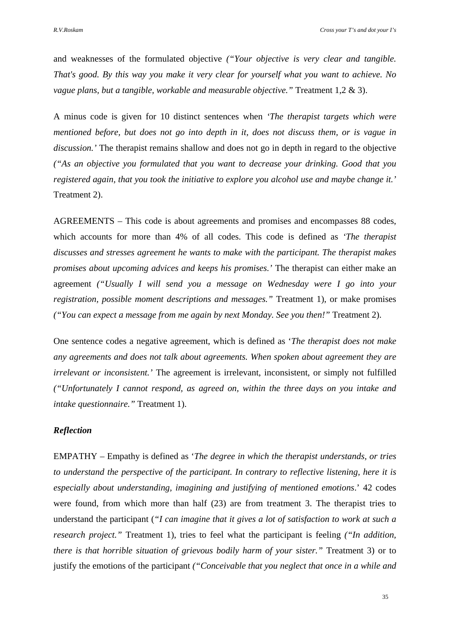and weaknesses of the formulated objective *("Your objective is very clear and tangible. That's good. By this way you make it very clear for yourself what you want to achieve. No vague plans, but a tangible, workable and measurable objective."* Treatment 1,2 & 3).

A minus code is given for 10 distinct sentences when *'The therapist targets which were mentioned before, but does not go into depth in it, does not discuss them, or is vague in discussion.'* The therapist remains shallow and does not go in depth in regard to the objective *("As an objective you formulated that you want to decrease your drinking. Good that you registered again, that you took the initiative to explore you alcohol use and maybe change it.'* Treatment 2).

AGREEMENTS – This code is about agreements and promises and encompasses 88 codes, which accounts for more than 4% of all codes. This code is defined as *'The therapist discusses and stresses agreement he wants to make with the participant. The therapist makes promises about upcoming advices and keeps his promises.'* The therapist can either make an agreement *("Usually I will send you a message on Wednesday were I go into your registration, possible moment descriptions and messages."* Treatment 1), or make promises *("You can expect a message from me again by next Monday. See you then!"* Treatment 2).

One sentence codes a negative agreement, which is defined as '*The therapist does not make any agreements and does not talk about agreements. When spoken about agreement they are irrelevant or inconsistent.'* The agreement is irrelevant, inconsistent, or simply not fulfilled *("Unfortunately I cannot respond, as agreed on, within the three days on you intake and intake questionnaire."* Treatment 1).

#### *Reflection*

EMPATHY – Empathy is defined as '*The degree in which the therapist understands, or tries to understand the perspective of the participant. In contrary to reflective listening, here it is especially about understanding, imagining and justifying of mentioned emotions*.' 42 codes were found, from which more than half (23) are from treatment 3. The therapist tries to understand the participant (*"I can imagine that it gives a lot of satisfaction to work at such a research project."* Treatment 1), tries to feel what the participant is feeling *("In addition, there is that horrible situation of grievous bodily harm of your sister."* Treatment 3) or to justify the emotions of the participant *("Conceivable that you neglect that once in a while and*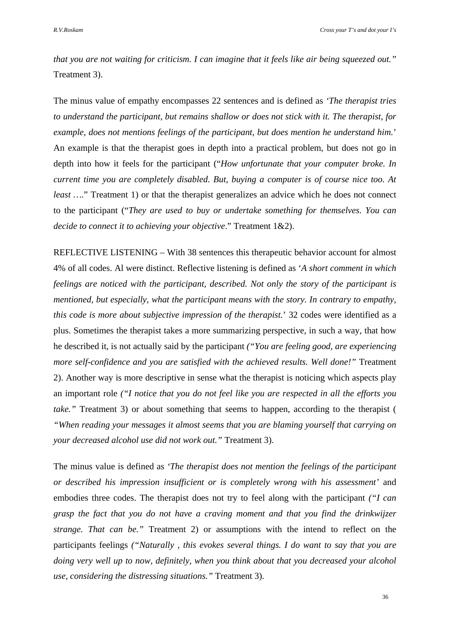*that you are not waiting for criticism. I can imagine that it feels like air being squeezed out."* Treatment 3).

The minus value of empathy encompasses 22 sentences and is defined as *'The therapist tries to understand the participant, but remains shallow or does not stick with it. The therapist, for example, does not mentions feelings of the participant, but does mention he understand him.*' An example is that the therapist goes in depth into a practical problem, but does not go in depth into how it feels for the participant ("*How unfortunate that your computer broke. In current time you are completely disabled. But, buying a computer is of course nice too. At least ....*" Treatment 1) or that the therapist generalizes an advice which he does not connect to the participant ("*They are used to buy or undertake something for themselves. You can decide to connect it to achieving your objective*." Treatment 1&2).

REFLECTIVE LISTENING – With 38 sentences this therapeutic behavior account for almost 4% of all codes. Al were distinct. Reflective listening is defined as '*A short comment in which feelings are noticed with the participant, described. Not only the story of the participant is mentioned, but especially, what the participant means with the story. In contrary to empathy, this code is more about subjective impression of the therapist.*' 32 codes were identified as a plus. Sometimes the therapist takes a more summarizing perspective, in such a way, that how he described it, is not actually said by the participant *("You are feeling good, are experiencing more self-confidence and you are satisfied with the achieved results. Well done!"* Treatment 2). Another way is more descriptive in sense what the therapist is noticing which aspects play an important role *("I notice that you do not feel like you are respected in all the efforts you take."* Treatment 3) or about something that seems to happen, according to the therapist ( *"When reading your messages it almost seems that you are blaming yourself that carrying on your decreased alcohol use did not work out."* Treatment 3).

The minus value is defined as *'The therapist does not mention the feelings of the participant or described his impression insufficient or is completely wrong with his assessment'* and embodies three codes. The therapist does not try to feel along with the participant *("I can grasp the fact that you do not have a craving moment and that you find the drinkwijzer strange. That can be."* Treatment 2) or assumptions with the intend to reflect on the participants feelings *("Naturally , this evokes several things. I do want to say that you are doing very well up to now, definitely, when you think about that you decreased your alcohol use, considering the distressing situations."* Treatment 3).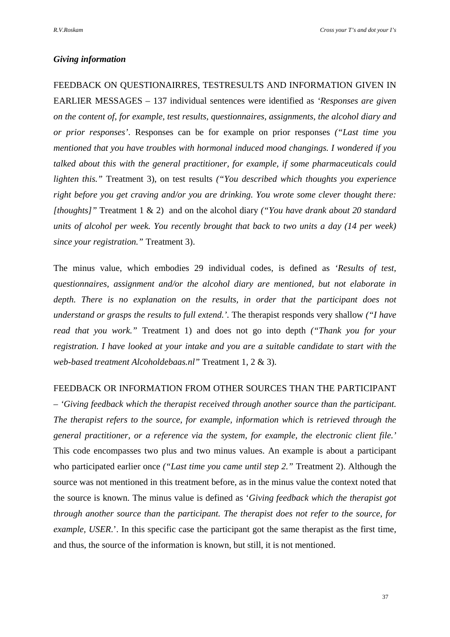# *Giving information*

FEEDBACK ON QUESTIONAIRRES, TESTRESULTS AND INFORMATION GIVEN IN EARLIER MESSAGES – 137 individual sentences were identified as *'Responses are given on the content of, for example, test results, questionnaires, assignments, the alcohol diary and or prior responses'*. Responses can be for example on prior responses *("Last time you mentioned that you have troubles with hormonal induced mood changings. I wondered if you talked about this with the general practitioner, for example, if some pharmaceuticals could lighten this."* Treatment 3), on test results *("You described which thoughts you experience right before you get craving and/or you are drinking. You wrote some clever thought there: [thoughts]"* Treatment 1 & 2) and on the alcohol diary *("You have drank about 20 standard units of alcohol per week. You recently brought that back to two units a day (14 per week) since your registration."* Treatment 3).

The minus value, which embodies 29 individual codes, is defined as *'Results of test, questionnaires, assignment and/or the alcohol diary are mentioned, but not elaborate in depth. There is no explanation on the results, in order that the participant does not understand or grasps the results to full extend.'.* The therapist responds very shallow *("I have read that you work."* Treatment 1) and does not go into depth *("Thank you for your registration. I have looked at your intake and you are a suitable candidate to start with the web-based treatment Alcoholdebaas.nl"* Treatment 1, 2 & 3).

#### FEEDBACK OR INFORMATION FROM OTHER SOURCES THAN THE PARTICIPANT

– *'Giving feedback which the therapist received through another source than the participant. The therapist refers to the source, for example, information which is retrieved through the general practitioner, or a reference via the system, for example, the electronic client file.'* This code encompasses two plus and two minus values. An example is about a participant who participated earlier once *("Last time you came until step 2."* Treatment 2). Although the source was not mentioned in this treatment before, as in the minus value the context noted that the source is known. The minus value is defined as '*Giving feedback which the therapist got through another source than the participant. The therapist does not refer to the source, for example, USER*.'. In this specific case the participant got the same therapist as the first time, and thus, the source of the information is known, but still, it is not mentioned.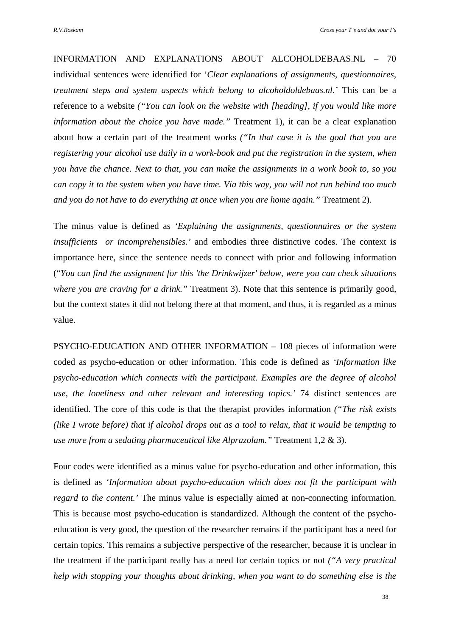INFORMATION AND EXPLANATIONS ABOUT ALCOHOLDEBAAS.NL – 70 individual sentences were identified for '*Clear explanations of assignments, questionnaires, treatment steps and system aspects which belong to alcoholdoldebaas.nl.'* This can be a reference to a website *("You can look on the website with [heading], if you would like more information about the choice you have made."* Treatment 1), it can be a clear explanation about how a certain part of the treatment works *("In that case it is the goal that you are registering your alcohol use daily in a work-book and put the registration in the system, when you have the chance. Next to that, you can make the assignments in a work book to, so you can copy it to the system when you have time. Via this way, you will not run behind too much and you do not have to do everything at once when you are home again."* Treatment 2).

The minus value is defined as *'Explaining the assignments, questionnaires or the system insufficients or incomprehensibles.'* and embodies three distinctive codes. The context is importance here, since the sentence needs to connect with prior and following information ("*You can find the assignment for this 'the Drinkwijzer' below, were you can check situations where you are craving for a drink."* Treatment 3). Note that this sentence is primarily good, but the context states it did not belong there at that moment, and thus, it is regarded as a minus value.

PSYCHO-EDUCATION AND OTHER INFORMATION – 108 pieces of information were coded as psycho-education or other information. This code is defined as *'Information like psycho-education which connects with the participant. Examples are the degree of alcohol use, the loneliness and other relevant and interesting topics.'* 74 distinct sentences are identified. The core of this code is that the therapist provides information *("The risk exists (like I wrote before) that if alcohol drops out as a tool to relax, that it would be tempting to use more from a sedating pharmaceutical like Alprazolam."* Treatment 1,2 & 3).

Four codes were identified as a minus value for psycho-education and other information, this is defined as *'Information about psycho-education which does not fit the participant with regard to the content.'* The minus value is especially aimed at non-connecting information. This is because most psycho-education is standardized. Although the content of the psychoeducation is very good, the question of the researcher remains if the participant has a need for certain topics. This remains a subjective perspective of the researcher, because it is unclear in the treatment if the participant really has a need for certain topics or not *("A very practical help with stopping your thoughts about drinking, when you want to do something else is the*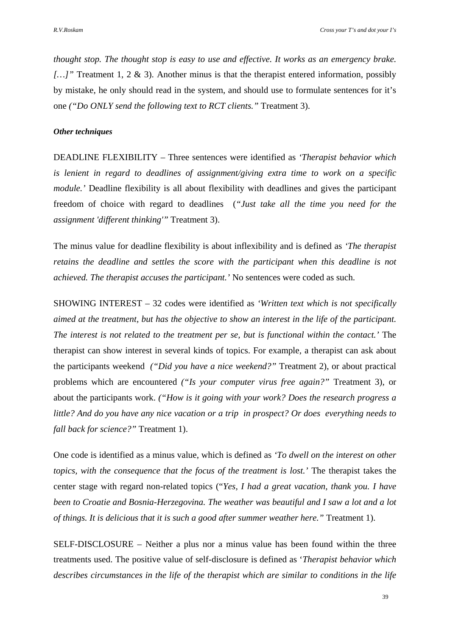*thought stop. The thought stop is easy to use and effective. It works as an emergency brake. […]"* Treatment 1, 2 & 3). Another minus is that the therapist entered information, possibly by mistake, he only should read in the system, and should use to formulate sentences for it's one *("Do ONLY send the following text to RCT clients."* Treatment 3).

#### *Other techniques*

DEADLINE FLEXIBILITY – Three sentences were identified as *'Therapist behavior which is lenient in regard to deadlines of assignment/giving extra time to work on a specific module.'* Deadline flexibility is all about flexibility with deadlines and gives the participant freedom of choice with regard to deadlines (*"Just take all the time you need for the assignment 'different thinking'"* Treatment 3).

The minus value for deadline flexibility is about inflexibility and is defined as *'The therapist retains the deadline and settles the score with the participant when this deadline is not achieved. The therapist accuses the participant.'* No sentences were coded as such.

SHOWING INTEREST – 32 codes were identified as *'Written text which is not specifically aimed at the treatment, but has the objective to show an interest in the life of the participant. The interest is not related to the treatment per se, but is functional within the contact.'* The therapist can show interest in several kinds of topics. For example, a therapist can ask about the participants weekend *("Did you have a nice weekend?"* Treatment 2), or about practical problems which are encountered *("Is your computer virus free again?"* Treatment 3), or about the participants work. *("How is it going with your work? Does the research progress a little? And do you have any nice vacation or a trip in prospect? Or does everything needs to fall back for science?"* Treatment 1).

One code is identified as a minus value, which is defined as *'To dwell on the interest on other topics, with the consequence that the focus of the treatment is lost.'* The therapist takes the center stage with regard non-related topics ("*Yes, I had a great vacation, thank you. I have been to Croatie and Bosnia-Herzegovina. The weather was beautiful and I saw a lot and a lot of things. It is delicious that it is such a good after summer weather here."* Treatment 1).

SELF-DISCLOSURE – Neither a plus nor a minus value has been found within the three treatments used. The positive value of self-disclosure is defined as '*Therapist behavior which describes circumstances in the life of the therapist which are similar to conditions in the life*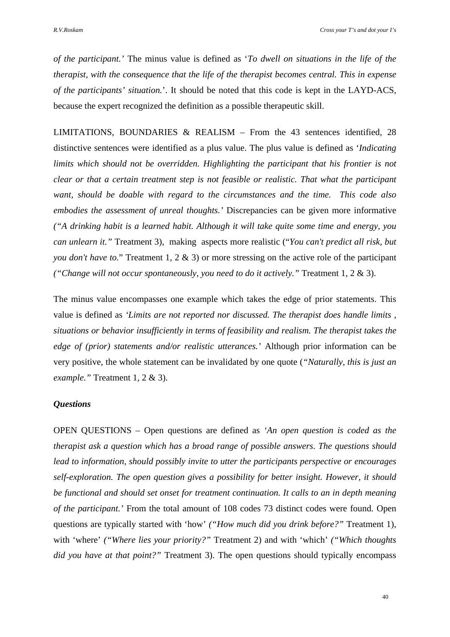*of the participant.'* The minus value is defined as '*To dwell on situations in the life of the therapist, with the consequence that the life of the therapist becomes central. This in expense of the participants' situation.*'. It should be noted that this code is kept in the LAYD-ACS, because the expert recognized the definition as a possible therapeutic skill.

LIMITATIONS, BOUNDARIES & REALISM – From the 43 sentences identified, 28 distinctive sentences were identified as a plus value. The plus value is defined as '*Indicating limits which should not be overridden. Highlighting the participant that his frontier is not clear or that a certain treatment step is not feasible or realistic. That what the participant want, should be doable with regard to the circumstances and the time. This code also embodies the assessment of unreal thoughts.'* Discrepancies can be given more informative *("A drinking habit is a learned habit. Although it will take quite some time and energy, you can unlearn it."* Treatment 3), making aspects more realistic ("*You can't predict all risk, but you don't have to.*" Treatment 1, 2 & 3) or more stressing on the active role of the participant *("Change will not occur spontaneously, you need to do it actively."* Treatment 1, 2 & 3).

The minus value encompasses one example which takes the edge of prior statements. This value is defined as *'Limits are not reported nor discussed. The therapist does handle limits , situations or behavior insufficiently in terms of feasibility and realism. The therapist takes the edge of (prior) statements and/or realistic utterances.'* Although prior information can be very positive, the whole statement can be invalidated by one quote (*"Naturally, this is just an example."* Treatment 1, 2 & 3).

# *Questions*

OPEN QUESTIONS – Open questions are defined as *'An open question is coded as the therapist ask a question which has a broad range of possible answers. The questions should lead to information, should possibly invite to utter the participants perspective or encourages self-exploration. The open question gives a possibility for better insight. However, it should be functional and should set onset for treatment continuation. It calls to an in depth meaning of the participant.'* From the total amount of 108 codes 73 distinct codes were found. Open questions are typically started with 'how' *("How much did you drink before?"* Treatment 1), with 'where' *("Where lies your priority?"* Treatment 2) and with 'which' *("Which thoughts did you have at that point?"* Treatment 3). The open questions should typically encompass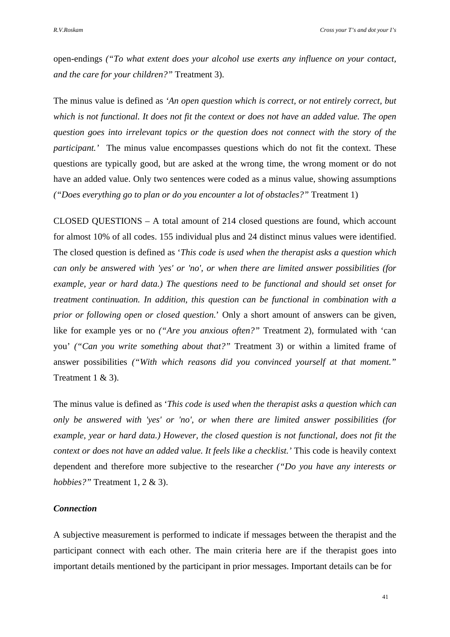open-endings *("To what extent does your alcohol use exerts any influence on your contact, and the care for your children?"* Treatment 3).

The minus value is defined as *'An open question which is correct, or not entirely correct, but which is not functional. It does not fit the context or does not have an added value. The open question goes into irrelevant topics or the question does not connect with the story of the participant.'* The minus value encompasses questions which do not fit the context. These questions are typically good, but are asked at the wrong time, the wrong moment or do not have an added value. Only two sentences were coded as a minus value, showing assumptions *("Does everything go to plan or do you encounter a lot of obstacles?"* Treatment 1)

CLOSED QUESTIONS – A total amount of 214 closed questions are found, which account for almost 10% of all codes. 155 individual plus and 24 distinct minus values were identified. The closed question is defined as '*This code is used when the therapist asks a question which can only be answered with 'yes' or 'no', or when there are limited answer possibilities (for example, year or hard data.) The questions need to be functional and should set onset for treatment continuation. In addition, this question can be functional in combination with a prior or following open or closed question.*' Only a short amount of answers can be given, like for example yes or no *("Are you anxious often?"* Treatment 2), formulated with 'can you' *("Can you write something about that?"* Treatment 3) or within a limited frame of answer possibilities *("With which reasons did you convinced yourself at that moment."* Treatment 1 & 3).

The minus value is defined as '*This code is used when the therapist asks a question which can only be answered with 'yes' or 'no', or when there are limited answer possibilities (for example, year or hard data.) However, the closed question is not functional, does not fit the context or does not have an added value. It feels like a checklist.'* This code is heavily context dependent and therefore more subjective to the researcher *("Do you have any interests or hobbies?"* Treatment 1, 2 & 3).

# *Connection*

A subjective measurement is performed to indicate if messages between the therapist and the participant connect with each other. The main criteria here are if the therapist goes into important details mentioned by the participant in prior messages. Important details can be for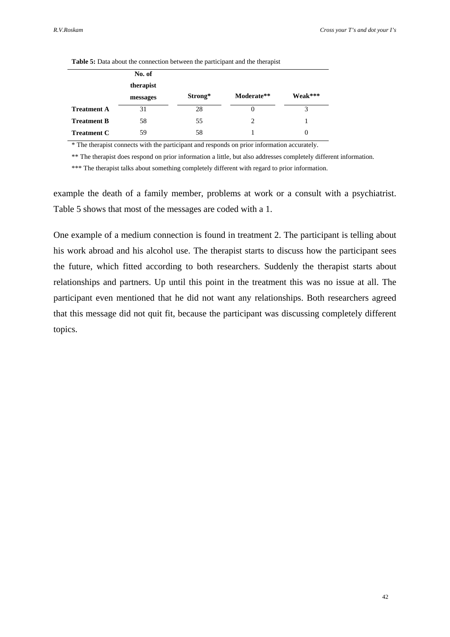|                    |           |         | $\mathbf{r}$ |          |
|--------------------|-----------|---------|--------------|----------|
|                    | No. of    |         |              |          |
|                    | therapist |         |              |          |
|                    | messages  | Strong* | Moderate**   | Weak***  |
| <b>Treatment A</b> | 31        | 28      | $\theta$     | 3        |
| <b>Treatment B</b> | 58        | 55      | 2            |          |
| <b>Treatment C</b> | 59        | 58      |              | $\theta$ |

**Table 5:** Data about the connection between the participant and the therapist

\* The therapist connects with the participant and responds on prior information accurately.

\*\* The therapist does respond on prior information a little, but also addresses completely different information.

\*\*\* The therapist talks about something completely different with regard to prior information.

example the death of a family member, problems at work or a consult with a psychiatrist. Table 5 shows that most of the messages are coded with a 1.

One example of a medium connection is found in treatment 2. The participant is telling about his work abroad and his alcohol use. The therapist starts to discuss how the participant sees the future, which fitted according to both researchers. Suddenly the therapist starts about relationships and partners. Up until this point in the treatment this was no issue at all. The participant even mentioned that he did not want any relationships. Both researchers agreed that this message did not quit fit, because the participant was discussing completely different topics.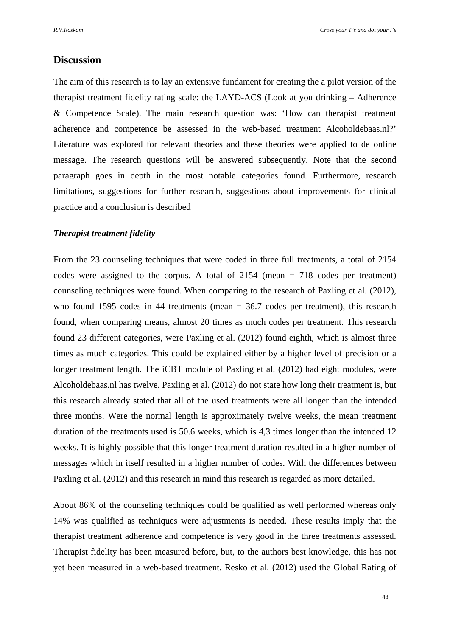# **Discussion**

The aim of this research is to lay an extensive fundament for creating the a pilot version of the therapist treatment fidelity rating scale: the LAYD-ACS (Look at you drinking – Adherence & Competence Scale). The main research question was: 'How can therapist treatment adherence and competence be assessed in the web-based treatment Alcoholdebaas.nl?' Literature was explored for relevant theories and these theories were applied to de online message. The research questions will be answered subsequently. Note that the second paragraph goes in depth in the most notable categories found. Furthermore, research limitations, suggestions for further research, suggestions about improvements for clinical practice and a conclusion is described

### *Therapist treatment fidelity*

From the 23 counseling techniques that were coded in three full treatments, a total of 2154 codes were assigned to the corpus. A total of 2154 (mean = 718 codes per treatment) counseling techniques were found. When comparing to the research of Paxling et al. (2012), who found 1595 codes in 44 treatments (mean = 36.7 codes per treatment), this research found, when comparing means, almost 20 times as much codes per treatment. This research found 23 different categories, were Paxling et al. (2012) found eighth, which is almost three times as much categories. This could be explained either by a higher level of precision or a longer treatment length. The iCBT module of Paxling et al. (2012) had eight modules, were Alcoholdebaas.nl has twelve. Paxling et al. (2012) do not state how long their treatment is, but this research already stated that all of the used treatments were all longer than the intended three months. Were the normal length is approximately twelve weeks, the mean treatment duration of the treatments used is 50.6 weeks, which is 4,3 times longer than the intended 12 weeks. It is highly possible that this longer treatment duration resulted in a higher number of messages which in itself resulted in a higher number of codes. With the differences between Paxling et al. (2012) and this research in mind this research is regarded as more detailed.

About 86% of the counseling techniques could be qualified as well performed whereas only 14% was qualified as techniques were adjustments is needed. These results imply that the therapist treatment adherence and competence is very good in the three treatments assessed. Therapist fidelity has been measured before, but, to the authors best knowledge, this has not yet been measured in a web-based treatment. Resko et al. (2012) used the Global Rating of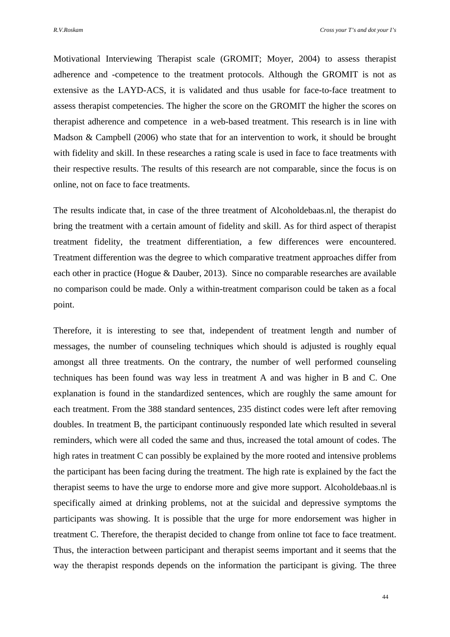Motivational Interviewing Therapist scale (GROMIT; Moyer, 2004) to assess therapist adherence and -competence to the treatment protocols. Although the GROMIT is not as extensive as the LAYD-ACS, it is validated and thus usable for face-to-face treatment to assess therapist competencies. The higher the score on the GROMIT the higher the scores on therapist adherence and competence in a web-based treatment. This research is in line with Madson & Campbell (2006) who state that for an intervention to work, it should be brought with fidelity and skill. In these researches a rating scale is used in face to face treatments with their respective results. The results of this research are not comparable, since the focus is on online, not on face to face treatments.

The results indicate that, in case of the three treatment of Alcoholdebaas.nl, the therapist do bring the treatment with a certain amount of fidelity and skill. As for third aspect of therapist treatment fidelity, the treatment differentiation, a few differences were encountered. Treatment differention was the degree to which comparative treatment approaches differ from each other in practice (Hogue & Dauber, 2013). Since no comparable researches are available no comparison could be made. Only a within-treatment comparison could be taken as a focal point.

Therefore, it is interesting to see that, independent of treatment length and number of messages, the number of counseling techniques which should is adjusted is roughly equal amongst all three treatments. On the contrary, the number of well performed counseling techniques has been found was way less in treatment A and was higher in B and C. One explanation is found in the standardized sentences, which are roughly the same amount for each treatment. From the 388 standard sentences, 235 distinct codes were left after removing doubles. In treatment B, the participant continuously responded late which resulted in several reminders, which were all coded the same and thus, increased the total amount of codes. The high rates in treatment C can possibly be explained by the more rooted and intensive problems the participant has been facing during the treatment. The high rate is explained by the fact the therapist seems to have the urge to endorse more and give more support. Alcoholdebaas.nl is specifically aimed at drinking problems, not at the suicidal and depressive symptoms the participants was showing. It is possible that the urge for more endorsement was higher in treatment C. Therefore, the therapist decided to change from online tot face to face treatment. Thus, the interaction between participant and therapist seems important and it seems that the way the therapist responds depends on the information the participant is giving. The three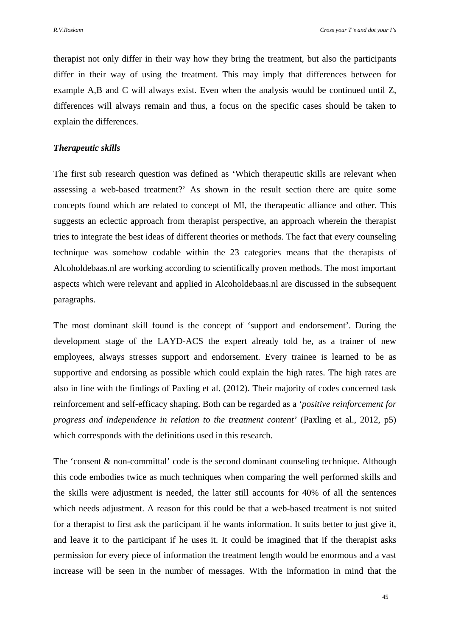therapist not only differ in their way how they bring the treatment, but also the participants differ in their way of using the treatment. This may imply that differences between for example A,B and C will always exist. Even when the analysis would be continued until Z, differences will always remain and thus, a focus on the specific cases should be taken to explain the differences.

# *Therapeutic skills*

The first sub research question was defined as 'Which therapeutic skills are relevant when assessing a web-based treatment?' As shown in the result section there are quite some concepts found which are related to concept of MI, the therapeutic alliance and other. This suggests an eclectic approach from therapist perspective, an approach wherein the therapist tries to integrate the best ideas of different theories or methods. The fact that every counseling technique was somehow codable within the 23 categories means that the therapists of Alcoholdebaas.nl are working according to scientifically proven methods. The most important aspects which were relevant and applied in Alcoholdebaas.nl are discussed in the subsequent paragraphs.

The most dominant skill found is the concept of 'support and endorsement'. During the development stage of the LAYD-ACS the expert already told he, as a trainer of new employees, always stresses support and endorsement. Every trainee is learned to be as supportive and endorsing as possible which could explain the high rates. The high rates are also in line with the findings of Paxling et al. (2012). Their majority of codes concerned task reinforcement and self-efficacy shaping. Both can be regarded as a *'positive reinforcement for progress and independence in relation to the treatment content'* (Paxling et al., 2012, p5) which corresponds with the definitions used in this research.

The 'consent & non-committal' code is the second dominant counseling technique. Although this code embodies twice as much techniques when comparing the well performed skills and the skills were adjustment is needed, the latter still accounts for 40% of all the sentences which needs adjustment. A reason for this could be that a web-based treatment is not suited for a therapist to first ask the participant if he wants information. It suits better to just give it, and leave it to the participant if he uses it. It could be imagined that if the therapist asks permission for every piece of information the treatment length would be enormous and a vast increase will be seen in the number of messages. With the information in mind that the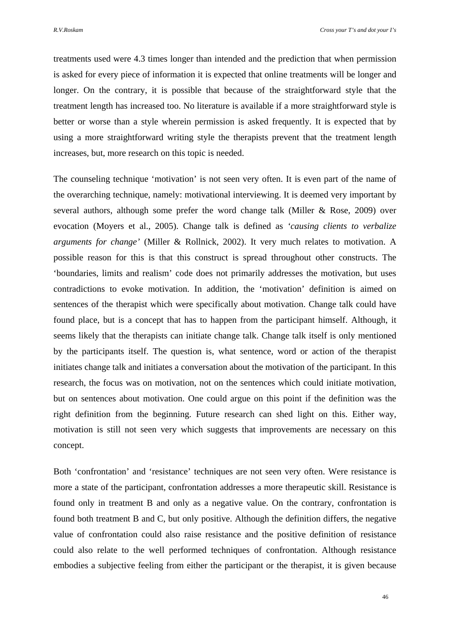treatments used were 4.3 times longer than intended and the prediction that when permission is asked for every piece of information it is expected that online treatments will be longer and longer. On the contrary, it is possible that because of the straightforward style that the treatment length has increased too. No literature is available if a more straightforward style is better or worse than a style wherein permission is asked frequently. It is expected that by using a more straightforward writing style the therapists prevent that the treatment length increases, but, more research on this topic is needed.

The counseling technique 'motivation' is not seen very often. It is even part of the name of the overarching technique, namely: motivational interviewing. It is deemed very important by several authors, although some prefer the word change talk (Miller & Rose, 2009) over evocation (Moyers et al., 2005). Change talk is defined as *'causing clients to verbalize arguments for change'* (Miller & Rollnick, 2002). It very much relates to motivation. A possible reason for this is that this construct is spread throughout other constructs. The 'boundaries, limits and realism' code does not primarily addresses the motivation, but uses contradictions to evoke motivation. In addition, the 'motivation' definition is aimed on sentences of the therapist which were specifically about motivation. Change talk could have found place, but is a concept that has to happen from the participant himself. Although, it seems likely that the therapists can initiate change talk. Change talk itself is only mentioned by the participants itself. The question is, what sentence, word or action of the therapist initiates change talk and initiates a conversation about the motivation of the participant. In this research, the focus was on motivation, not on the sentences which could initiate motivation, but on sentences about motivation. One could argue on this point if the definition was the right definition from the beginning. Future research can shed light on this. Either way, motivation is still not seen very which suggests that improvements are necessary on this concept.

Both 'confrontation' and 'resistance' techniques are not seen very often. Were resistance is more a state of the participant, confrontation addresses a more therapeutic skill. Resistance is found only in treatment B and only as a negative value. On the contrary, confrontation is found both treatment B and C, but only positive. Although the definition differs, the negative value of confrontation could also raise resistance and the positive definition of resistance could also relate to the well performed techniques of confrontation. Although resistance embodies a subjective feeling from either the participant or the therapist, it is given because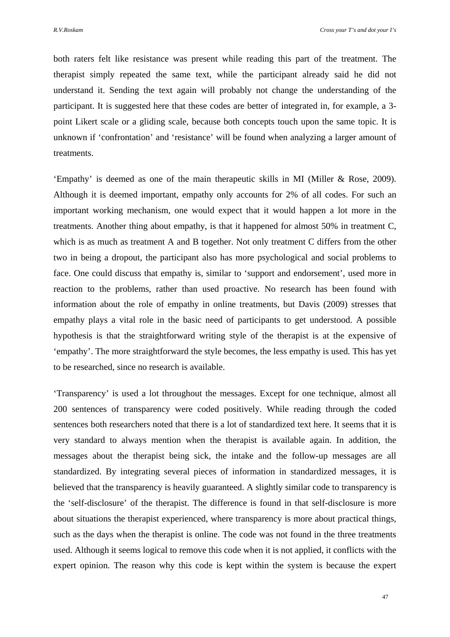both raters felt like resistance was present while reading this part of the treatment. The therapist simply repeated the same text, while the participant already said he did not understand it. Sending the text again will probably not change the understanding of the participant. It is suggested here that these codes are better of integrated in, for example, a 3 point Likert scale or a gliding scale, because both concepts touch upon the same topic. It is unknown if 'confrontation' and 'resistance' will be found when analyzing a larger amount of treatments.

'Empathy' is deemed as one of the main therapeutic skills in MI (Miller & Rose, 2009). Although it is deemed important, empathy only accounts for 2% of all codes. For such an important working mechanism, one would expect that it would happen a lot more in the treatments. Another thing about empathy, is that it happened for almost 50% in treatment C, which is as much as treatment A and B together. Not only treatment C differs from the other two in being a dropout, the participant also has more psychological and social problems to face. One could discuss that empathy is, similar to 'support and endorsement', used more in reaction to the problems, rather than used proactive. No research has been found with information about the role of empathy in online treatments, but Davis (2009) stresses that empathy plays a vital role in the basic need of participants to get understood. A possible hypothesis is that the straightforward writing style of the therapist is at the expensive of 'empathy'. The more straightforward the style becomes, the less empathy is used. This has yet to be researched, since no research is available.

'Transparency' is used a lot throughout the messages. Except for one technique, almost all 200 sentences of transparency were coded positively. While reading through the coded sentences both researchers noted that there is a lot of standardized text here. It seems that it is very standard to always mention when the therapist is available again. In addition, the messages about the therapist being sick, the intake and the follow-up messages are all standardized. By integrating several pieces of information in standardized messages, it is believed that the transparency is heavily guaranteed. A slightly similar code to transparency is the 'self-disclosure' of the therapist. The difference is found in that self-disclosure is more about situations the therapist experienced, where transparency is more about practical things, such as the days when the therapist is online. The code was not found in the three treatments used. Although it seems logical to remove this code when it is not applied, it conflicts with the expert opinion. The reason why this code is kept within the system is because the expert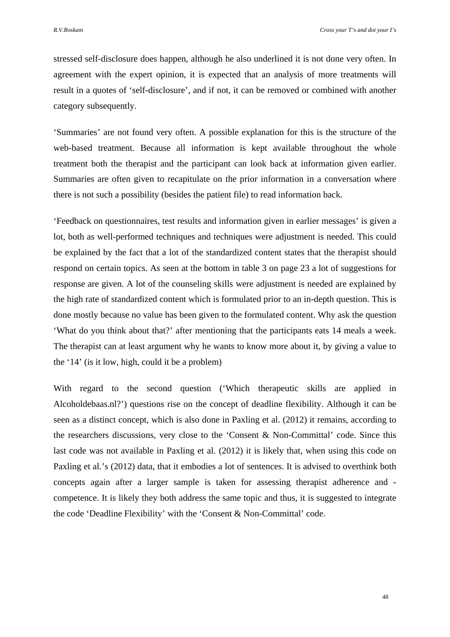stressed self-disclosure does happen, although he also underlined it is not done very often. In agreement with the expert opinion, it is expected that an analysis of more treatments will result in a quotes of 'self-disclosure', and if not, it can be removed or combined with another category subsequently.

'Summaries' are not found very often. A possible explanation for this is the structure of the web-based treatment. Because all information is kept available throughout the whole treatment both the therapist and the participant can look back at information given earlier. Summaries are often given to recapitulate on the prior information in a conversation where there is not such a possibility (besides the patient file) to read information back.

'Feedback on questionnaires, test results and information given in earlier messages' is given a lot, both as well-performed techniques and techniques were adjustment is needed. This could be explained by the fact that a lot of the standardized content states that the therapist should respond on certain topics. As seen at the bottom in table 3 on page 23 a lot of suggestions for response are given. A lot of the counseling skills were adjustment is needed are explained by the high rate of standardized content which is formulated prior to an in-depth question. This is done mostly because no value has been given to the formulated content. Why ask the question 'What do you think about that?' after mentioning that the participants eats 14 meals a week. The therapist can at least argument why he wants to know more about it, by giving a value to the '14' (is it low, high, could it be a problem)

With regard to the second question ('Which therapeutic skills are applied in Alcoholdebaas.nl?') questions rise on the concept of deadline flexibility. Although it can be seen as a distinct concept, which is also done in Paxling et al. (2012) it remains, according to the researchers discussions, very close to the 'Consent & Non-Committal' code. Since this last code was not available in Paxling et al. (2012) it is likely that, when using this code on Paxling et al.'s (2012) data, that it embodies a lot of sentences. It is advised to overthink both concepts again after a larger sample is taken for assessing therapist adherence and competence. It is likely they both address the same topic and thus, it is suggested to integrate the code 'Deadline Flexibility' with the 'Consent & Non-Committal' code.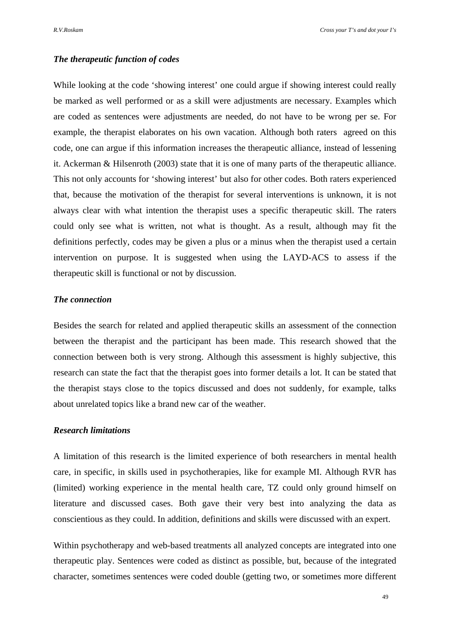# *The therapeutic function of codes*

While looking at the code 'showing interest' one could argue if showing interest could really be marked as well performed or as a skill were adjustments are necessary. Examples which are coded as sentences were adjustments are needed, do not have to be wrong per se. For example, the therapist elaborates on his own vacation. Although both raters agreed on this code, one can argue if this information increases the therapeutic alliance, instead of lessening it. Ackerman & Hilsenroth (2003) state that it is one of many parts of the therapeutic alliance. This not only accounts for 'showing interest' but also for other codes. Both raters experienced that, because the motivation of the therapist for several interventions is unknown, it is not always clear with what intention the therapist uses a specific therapeutic skill. The raters could only see what is written, not what is thought. As a result, although may fit the definitions perfectly, codes may be given a plus or a minus when the therapist used a certain intervention on purpose. It is suggested when using the LAYD-ACS to assess if the therapeutic skill is functional or not by discussion.

# *The connection*

Besides the search for related and applied therapeutic skills an assessment of the connection between the therapist and the participant has been made. This research showed that the connection between both is very strong. Although this assessment is highly subjective, this research can state the fact that the therapist goes into former details a lot. It can be stated that the therapist stays close to the topics discussed and does not suddenly, for example, talks about unrelated topics like a brand new car of the weather.

# *Research limitations*

A limitation of this research is the limited experience of both researchers in mental health care, in specific, in skills used in psychotherapies, like for example MI. Although RVR has (limited) working experience in the mental health care, TZ could only ground himself on literature and discussed cases. Both gave their very best into analyzing the data as conscientious as they could. In addition, definitions and skills were discussed with an expert.

Within psychotherapy and web-based treatments all analyzed concepts are integrated into one therapeutic play. Sentences were coded as distinct as possible, but, because of the integrated character, sometimes sentences were coded double (getting two, or sometimes more different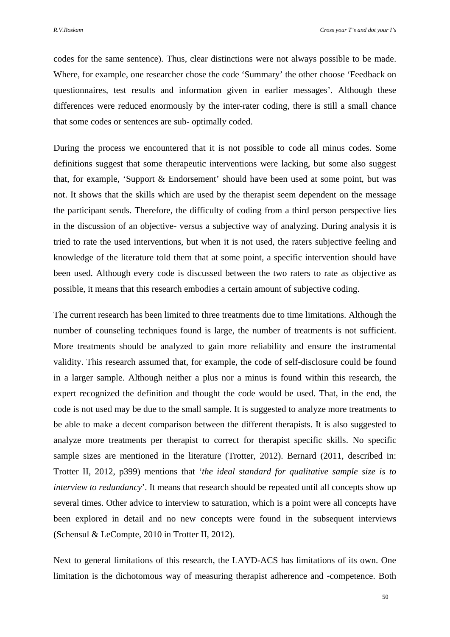codes for the same sentence). Thus, clear distinctions were not always possible to be made. Where, for example, one researcher chose the code 'Summary' the other choose 'Feedback on questionnaires, test results and information given in earlier messages'. Although these differences were reduced enormously by the inter-rater coding, there is still a small chance that some codes or sentences are sub- optimally coded.

During the process we encountered that it is not possible to code all minus codes. Some definitions suggest that some therapeutic interventions were lacking, but some also suggest that, for example, 'Support & Endorsement' should have been used at some point, but was not. It shows that the skills which are used by the therapist seem dependent on the message the participant sends. Therefore, the difficulty of coding from a third person perspective lies in the discussion of an objective- versus a subjective way of analyzing. During analysis it is tried to rate the used interventions, but when it is not used, the raters subjective feeling and knowledge of the literature told them that at some point, a specific intervention should have been used. Although every code is discussed between the two raters to rate as objective as possible, it means that this research embodies a certain amount of subjective coding.

The current research has been limited to three treatments due to time limitations. Although the number of counseling techniques found is large, the number of treatments is not sufficient. More treatments should be analyzed to gain more reliability and ensure the instrumental validity. This research assumed that, for example, the code of self-disclosure could be found in a larger sample. Although neither a plus nor a minus is found within this research, the expert recognized the definition and thought the code would be used. That, in the end, the code is not used may be due to the small sample. It is suggested to analyze more treatments to be able to make a decent comparison between the different therapists. It is also suggested to analyze more treatments per therapist to correct for therapist specific skills. No specific sample sizes are mentioned in the literature (Trotter, 2012). Bernard (2011, described in: Trotter II, 2012, p399) mentions that '*the ideal standard for qualitative sample size is to interview to redundancy*'. It means that research should be repeated until all concepts show up several times. Other advice to interview to saturation, which is a point were all concepts have been explored in detail and no new concepts were found in the subsequent interviews (Schensul & LeCompte, 2010 in Trotter II, 2012).

Next to general limitations of this research, the LAYD-ACS has limitations of its own. One limitation is the dichotomous way of measuring therapist adherence and -competence. Both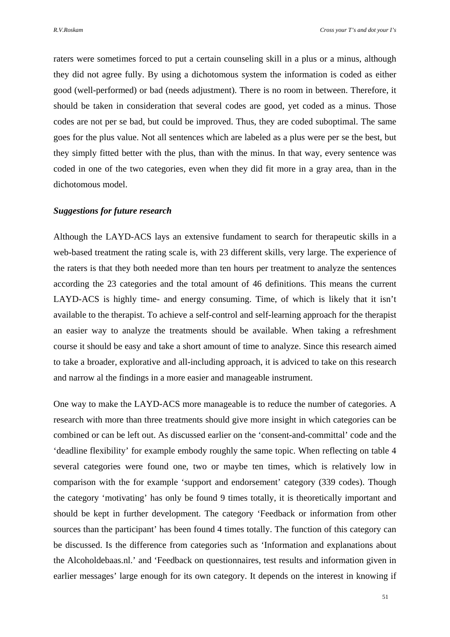raters were sometimes forced to put a certain counseling skill in a plus or a minus, although they did not agree fully. By using a dichotomous system the information is coded as either good (well-performed) or bad (needs adjustment). There is no room in between. Therefore, it should be taken in consideration that several codes are good, yet coded as a minus. Those codes are not per se bad, but could be improved. Thus, they are coded suboptimal. The same goes for the plus value. Not all sentences which are labeled as a plus were per se the best, but they simply fitted better with the plus, than with the minus. In that way, every sentence was coded in one of the two categories, even when they did fit more in a gray area, than in the dichotomous model.

# *Suggestions for future research*

Although the LAYD-ACS lays an extensive fundament to search for therapeutic skills in a web-based treatment the rating scale is, with 23 different skills, very large. The experience of the raters is that they both needed more than ten hours per treatment to analyze the sentences according the 23 categories and the total amount of 46 definitions. This means the current LAYD-ACS is highly time- and energy consuming. Time, of which is likely that it isn't available to the therapist. To achieve a self-control and self-learning approach for the therapist an easier way to analyze the treatments should be available. When taking a refreshment course it should be easy and take a short amount of time to analyze. Since this research aimed to take a broader, explorative and all-including approach, it is adviced to take on this research and narrow al the findings in a more easier and manageable instrument.

One way to make the LAYD-ACS more manageable is to reduce the number of categories. A research with more than three treatments should give more insight in which categories can be combined or can be left out. As discussed earlier on the 'consent-and-committal' code and the 'deadline flexibility' for example embody roughly the same topic. When reflecting on table 4 several categories were found one, two or maybe ten times, which is relatively low in comparison with the for example 'support and endorsement' category (339 codes). Though the category 'motivating' has only be found 9 times totally, it is theoretically important and should be kept in further development. The category 'Feedback or information from other sources than the participant' has been found 4 times totally. The function of this category can be discussed. Is the difference from categories such as 'Information and explanations about the Alcoholdebaas.nl.' and 'Feedback on questionnaires, test results and information given in earlier messages' large enough for its own category. It depends on the interest in knowing if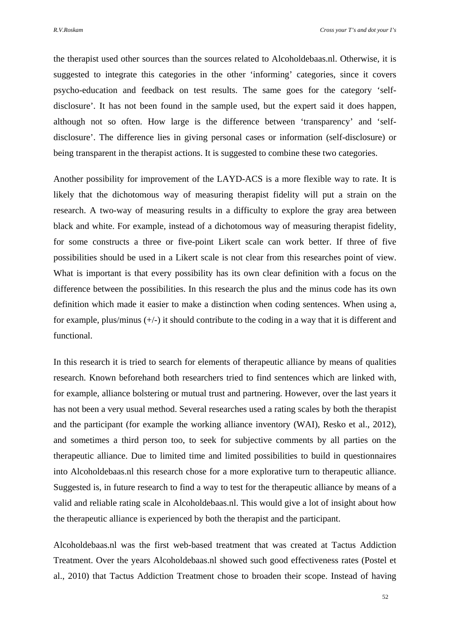the therapist used other sources than the sources related to Alcoholdebaas.nl. Otherwise, it is suggested to integrate this categories in the other 'informing' categories, since it covers psycho-education and feedback on test results. The same goes for the category 'selfdisclosure'. It has not been found in the sample used, but the expert said it does happen, although not so often. How large is the difference between 'transparency' and 'selfdisclosure'. The difference lies in giving personal cases or information (self-disclosure) or being transparent in the therapist actions. It is suggested to combine these two categories.

Another possibility for improvement of the LAYD-ACS is a more flexible way to rate. It is likely that the dichotomous way of measuring therapist fidelity will put a strain on the research. A two-way of measuring results in a difficulty to explore the gray area between black and white. For example, instead of a dichotomous way of measuring therapist fidelity, for some constructs a three or five-point Likert scale can work better. If three of five possibilities should be used in a Likert scale is not clear from this researches point of view. What is important is that every possibility has its own clear definition with a focus on the difference between the possibilities. In this research the plus and the minus code has its own definition which made it easier to make a distinction when coding sentences. When using a, for example, plus/minus (+/-) it should contribute to the coding in a way that it is different and functional.

In this research it is tried to search for elements of therapeutic alliance by means of qualities research. Known beforehand both researchers tried to find sentences which are linked with, for example, alliance bolstering or mutual trust and partnering. However, over the last years it has not been a very usual method. Several researches used a rating scales by both the therapist and the participant (for example the working alliance inventory (WAI), Resko et al., 2012), and sometimes a third person too, to seek for subjective comments by all parties on the therapeutic alliance. Due to limited time and limited possibilities to build in questionnaires into Alcoholdebaas.nl this research chose for a more explorative turn to therapeutic alliance. Suggested is, in future research to find a way to test for the therapeutic alliance by means of a valid and reliable rating scale in Alcoholdebaas.nl. This would give a lot of insight about how the therapeutic alliance is experienced by both the therapist and the participant.

Alcoholdebaas.nl was the first web-based treatment that was created at Tactus Addiction Treatment. Over the years Alcoholdebaas.nl showed such good effectiveness rates (Postel et al., 2010) that Tactus Addiction Treatment chose to broaden their scope. Instead of having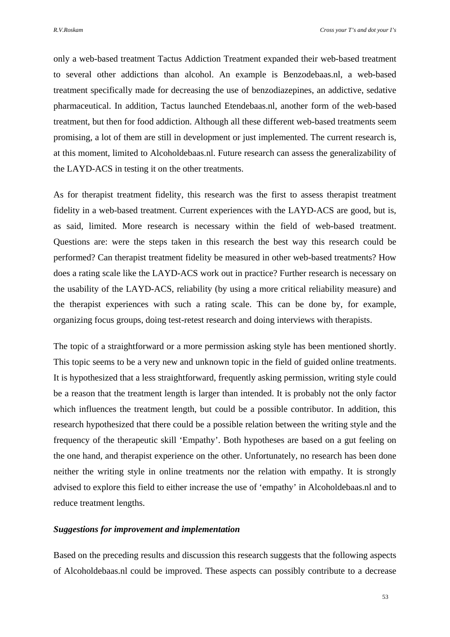only a web-based treatment Tactus Addiction Treatment expanded their web-based treatment to several other addictions than alcohol. An example is Benzodebaas.nl, a web-based treatment specifically made for decreasing the use of benzodiazepines, an addictive, sedative pharmaceutical. In addition, Tactus launched Etendebaas.nl, another form of the web-based treatment, but then for food addiction. Although all these different web-based treatments seem promising, a lot of them are still in development or just implemented. The current research is, at this moment, limited to Alcoholdebaas.nl. Future research can assess the generalizability of the LAYD-ACS in testing it on the other treatments.

As for therapist treatment fidelity, this research was the first to assess therapist treatment fidelity in a web-based treatment. Current experiences with the LAYD-ACS are good, but is, as said, limited. More research is necessary within the field of web-based treatment. Questions are: were the steps taken in this research the best way this research could be performed? Can therapist treatment fidelity be measured in other web-based treatments? How does a rating scale like the LAYD-ACS work out in practice? Further research is necessary on the usability of the LAYD-ACS, reliability (by using a more critical reliability measure) and the therapist experiences with such a rating scale. This can be done by, for example, organizing focus groups, doing test-retest research and doing interviews with therapists.

The topic of a straightforward or a more permission asking style has been mentioned shortly. This topic seems to be a very new and unknown topic in the field of guided online treatments. It is hypothesized that a less straightforward, frequently asking permission, writing style could be a reason that the treatment length is larger than intended. It is probably not the only factor which influences the treatment length, but could be a possible contributor. In addition, this research hypothesized that there could be a possible relation between the writing style and the frequency of the therapeutic skill 'Empathy'. Both hypotheses are based on a gut feeling on the one hand, and therapist experience on the other. Unfortunately, no research has been done neither the writing style in online treatments nor the relation with empathy. It is strongly advised to explore this field to either increase the use of 'empathy' in Alcoholdebaas.nl and to reduce treatment lengths.

# *Suggestions for improvement and implementation*

Based on the preceding results and discussion this research suggests that the following aspects of Alcoholdebaas.nl could be improved. These aspects can possibly contribute to a decrease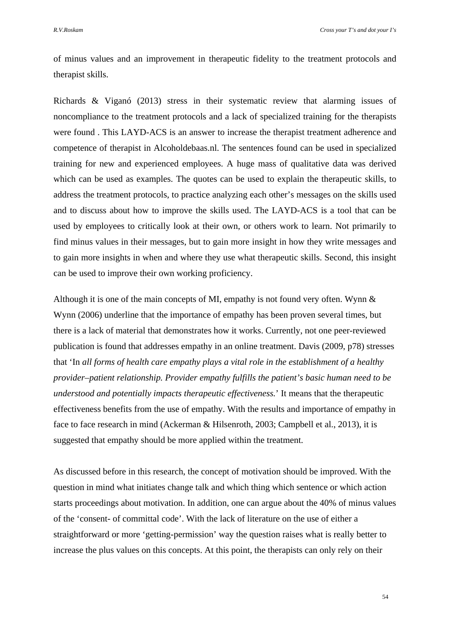of minus values and an improvement in therapeutic fidelity to the treatment protocols and therapist skills.

Richards & Viganó (2013) stress in their systematic review that alarming issues of noncompliance to the treatment protocols and a lack of specialized training for the therapists were found . This LAYD-ACS is an answer to increase the therapist treatment adherence and competence of therapist in Alcoholdebaas.nl. The sentences found can be used in specialized training for new and experienced employees. A huge mass of qualitative data was derived which can be used as examples. The quotes can be used to explain the therapeutic skills, to address the treatment protocols, to practice analyzing each other's messages on the skills used and to discuss about how to improve the skills used. The LAYD-ACS is a tool that can be used by employees to critically look at their own, or others work to learn. Not primarily to find minus values in their messages, but to gain more insight in how they write messages and to gain more insights in when and where they use what therapeutic skills. Second, this insight can be used to improve their own working proficiency.

Although it is one of the main concepts of MI, empathy is not found very often. Wynn  $\&$ Wynn (2006) underline that the importance of empathy has been proven several times, but there is a lack of material that demonstrates how it works. Currently, not one peer-reviewed publication is found that addresses empathy in an online treatment. Davis (2009, p78) stresses that 'In *all forms of health care empathy plays a vital role in the establishment of a healthy provider–patient relationship. Provider empathy fulfills the patient's basic human need to be understood and potentially impacts therapeutic effectiveness.*' It means that the therapeutic effectiveness benefits from the use of empathy. With the results and importance of empathy in face to face research in mind (Ackerman & Hilsenroth, 2003; Campbell et al., 2013), it is suggested that empathy should be more applied within the treatment.

As discussed before in this research, the concept of motivation should be improved. With the question in mind what initiates change talk and which thing which sentence or which action starts proceedings about motivation. In addition, one can argue about the 40% of minus values of the 'consent- of committal code'. With the lack of literature on the use of either a straightforward or more 'getting-permission' way the question raises what is really better to increase the plus values on this concepts. At this point, the therapists can only rely on their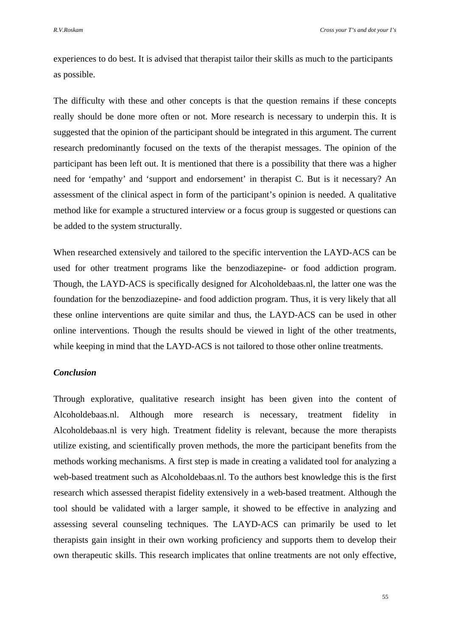experiences to do best. It is advised that therapist tailor their skills as much to the participants as possible.

The difficulty with these and other concepts is that the question remains if these concepts really should be done more often or not. More research is necessary to underpin this. It is suggested that the opinion of the participant should be integrated in this argument. The current research predominantly focused on the texts of the therapist messages. The opinion of the participant has been left out. It is mentioned that there is a possibility that there was a higher need for 'empathy' and 'support and endorsement' in therapist C. But is it necessary? An assessment of the clinical aspect in form of the participant's opinion is needed. A qualitative method like for example a structured interview or a focus group is suggested or questions can be added to the system structurally.

When researched extensively and tailored to the specific intervention the LAYD-ACS can be used for other treatment programs like the benzodiazepine- or food addiction program. Though, the LAYD-ACS is specifically designed for Alcoholdebaas.nl, the latter one was the foundation for the benzodiazepine- and food addiction program. Thus, it is very likely that all these online interventions are quite similar and thus, the LAYD-ACS can be used in other online interventions. Though the results should be viewed in light of the other treatments, while keeping in mind that the LAYD-ACS is not tailored to those other online treatments.

# *Conclusion*

Through explorative, qualitative research insight has been given into the content of Alcoholdebaas.nl. Although more research is necessary, treatment fidelity in Alcoholdebaas.nl is very high. Treatment fidelity is relevant, because the more therapists utilize existing, and scientifically proven methods, the more the participant benefits from the methods working mechanisms. A first step is made in creating a validated tool for analyzing a web-based treatment such as Alcoholdebaas.nl. To the authors best knowledge this is the first research which assessed therapist fidelity extensively in a web-based treatment. Although the tool should be validated with a larger sample, it showed to be effective in analyzing and assessing several counseling techniques. The LAYD-ACS can primarily be used to let therapists gain insight in their own working proficiency and supports them to develop their own therapeutic skills. This research implicates that online treatments are not only effective,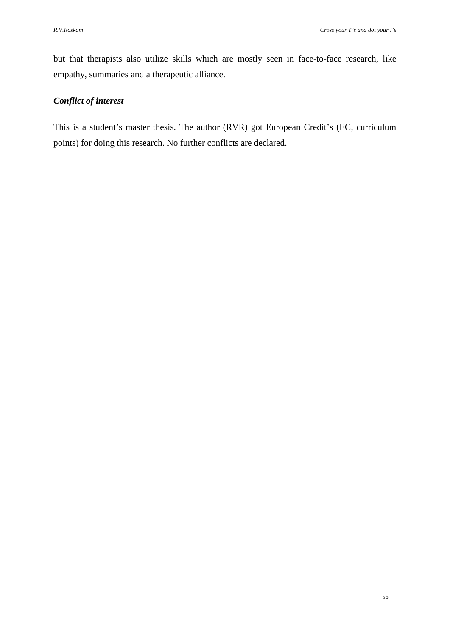but that therapists also utilize skills which are mostly seen in face-to-face research, like empathy, summaries and a therapeutic alliance.

# *Conflict of interest*

This is a student's master thesis. The author (RVR) got European Credit's (EC, curriculum points) for doing this research. No further conflicts are declared.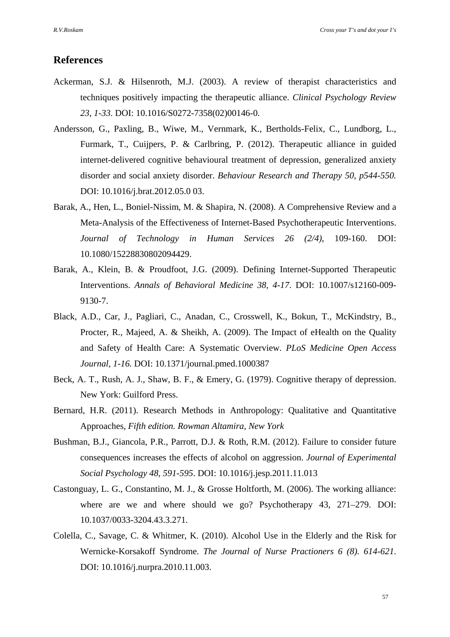# **References**

- Ackerman, S.J. & Hilsenroth, M.J. (2003). A review of therapist characteristics and techniques positively impacting the therapeutic alliance. *Clinical Psychology Review 23, 1-33*. DOI: 10.1016/S0272-7358(02)00146-0.
- Andersson, G., Paxling, B., Wiwe, M., Vernmark, K., Bertholds-Felix, C., Lundborg, L., Furmark, T., Cuijpers, P. & Carlbring, P. (2012). Therapeutic alliance in guided internet-delivered cognitive behavioural treatment of depression, generalized anxiety disorder and social anxiety disorder. *Behaviour Research and Therapy 50, p544-550.*  DOI: 10.1016/j.brat.2012.05.0 03.
- Barak, A., Hen, L., Boniel-Nissim, M. & Shapira, N. (2008). A Comprehensive Review and a Meta-Analysis of the Effectiveness of Internet-Based Psychotherapeutic Interventions. *Journal of Technology in Human Services 26 (2/4)*, 109-160. DOI: 10.1080/15228830802094429.
- Barak, A., Klein, B. & Proudfoot, J.G. (2009). Defining Internet-Supported Therapeutic Interventions. *Annals of Behavioral Medicine 38, 4-17*. DOI: 10.1007/s12160-009- 9130-7.
- Black, A.D., Car, J., Pagliari, C., Anadan, C., Crosswell, K., Bokun, T., McKindstry, B., Procter, R., Majeed, A. & Sheikh, A. (2009). The Impact of eHealth on the Quality and Safety of Health Care: A Systematic Overview. *PLoS Medicine Open Access Journal, 1-16.* DOI: 10.1371/journal.pmed.1000387
- Beck, A. T., Rush, A. J., Shaw, B. F., & Emery, G. (1979). Cognitive therapy of depression. New York: Guilford Press.
- Bernard, H.R. (2011). Research Methods in Anthropology: Qualitative and Quantitative Approaches, *Fifth edition. Rowman Altamira, New York*
- Bushman, B.J., Giancola, P.R., Parrott, D.J. & Roth, R.M. (2012). Failure to consider future consequences increases the effects of alcohol on aggression. *Journal of Experimental Social Psychology 48, 591-595*. DOI: 10.1016/j.jesp.2011.11.013
- Castonguay, L. G., Constantino, M. J., & Grosse Holtforth, M. (2006). The working alliance: where are we and where should we go? Psychotherapy 43, 271–279. DOI: 10.1037/0033-3204.43.3.271.
- Colella, C., Savage, C. & Whitmer, K. (2010). Alcohol Use in the Elderly and the Risk for Wernicke-Korsakoff Syndrome. *The Journal of Nurse Practioners 6 (8). 614-621*. DOI: 10.1016/j.nurpra.2010.11.003.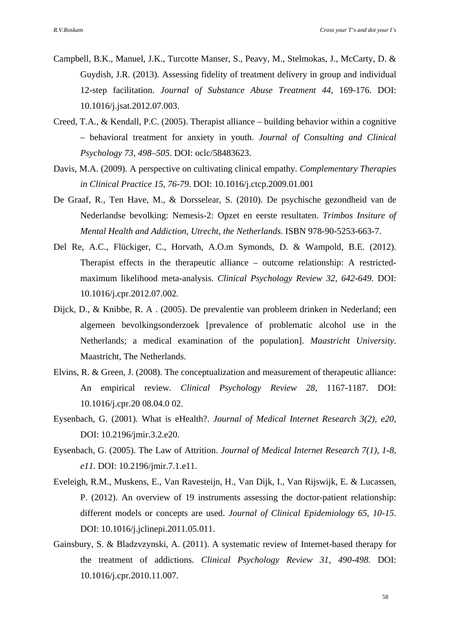- Campbell, B.K., Manuel, J.K., Turcotte Manser, S., Peavy, M., Stelmokas, J., McCarty, D. & Guydish, J.R. (2013). Assessing fidelity of treatment delivery in group and individual 12-step facilitation. *Journal of Substance Abuse Treatment 44*, 169-176. DOI: 10.1016/j.jsat.2012.07.003.
- Creed, T.A., & Kendall, P.C. (2005). Therapist alliance building behavior within a cognitive – behavioral treatment for anxiety in youth. *Journal of Consulting and Clinical Psychology 73, 498–505*. DOI: oclc/58483623.
- Davis, M.A. (2009). A perspective on cultivating clinical empathy. *Complementary Therapies in Clinical Practice 15, 76-79*. DOI: 10.1016/j.ctcp.2009.01.001
- De Graaf, R., Ten Have, M., & Dorsselear, S. (2010). De psychische gezondheid van de Nederlandse bevolking: Nemesis-2: Opzet en eerste resultaten. *Trimbos Insiture of Mental Health and Addiction, Utrecht, the Netherlands.* ISBN 978-90-5253-663-7.
- Del Re, A.C., Flückiger, C., Horvath, A.O.m Symonds, D. & Wampold, B.E. (2012). Therapist effects in the therapeutic alliance – outcome relationship: A restrictedmaximum likelihood meta-analysis. *Clinical Psychology Review 32, 642-649.* DOI: 10.1016/j.cpr.2012.07.002.
- Dijck, D., & Knibbe, R. A . (2005). De prevalentie van probleem drinken in Nederland; een algemeen bevolkingsonderzoek [prevalence of problematic alcohol use in the Netherlands; a medical examination of the population]. *Maastricht University*. Maastricht, The Netherlands.
- Elvins, R. & Green, J. (2008). The conceptualization and measurement of therapeutic alliance: An empirical review. *Clinical Psychology Review 28,* 1167-1187. DOI: 10.1016/j.cpr.20 08.04.0 02.
- Eysenbach, G. (2001). What is eHealth?. *Journal of Medical Internet Research 3(2), e20*, DOI: 10.2196/jmir.3.2.e20.
- Eysenbach, G. (2005). The Law of Attrition. *Journal of Medical Internet Research 7(1), 1-8, e11.* DOI: 10.2196/jmir.7.1.e11.
- Eveleigh, R.M., Muskens, E., Van Ravesteijn, H., Van Dijk, I., Van Rijswijk, E. & Lucassen, P. (2012). An overview of 19 instruments assessing the doctor-patient relationship: different models or concepts are used. *Journal of Clinical Epidemiology 65, 10-15*. DOI: 10.1016/j.jclinepi.2011.05.011.
- Gainsbury, S. & Bladzvzynski, A. (2011). A systematic review of Internet-based therapy for the treatment of addictions. *Clinical Psychology Review 31, 490-498.* DOI: 10.1016/j.cpr.2010.11.007.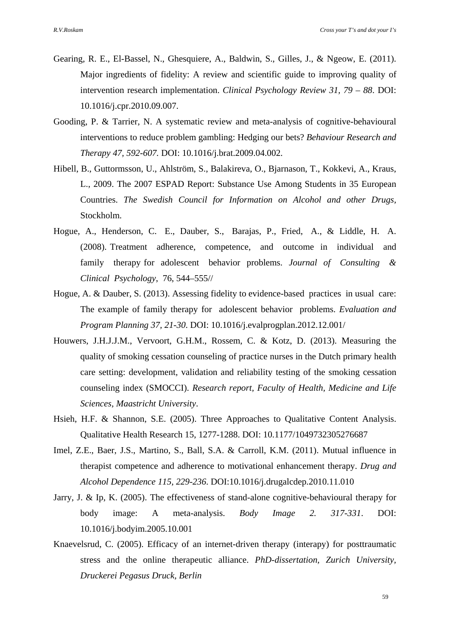- Gearing, R. E., El-Bassel, N., Ghesquiere, A., Baldwin, S., Gilles, J., & Ngeow, E. (2011). Major ingredients of fidelity: A review and scientific guide to improving quality of intervention research implementation. *Clinical Psychology Review 31, 79 – 88*. DOI: 10.1016/j.cpr.2010.09.007.
- Gooding, P. & Tarrier, N. A systematic review and meta-analysis of cognitive-behavioural interventions to reduce problem gambling: Hedging our bets? *Behaviour Research and Therapy 47, 592-607.* DOI: 10.1016/j.brat.2009.04.002.
- Hibell, B., Guttormsson, U., Ahlström, S., Balakireva, O., Bjarnason, T., Kokkevi, A., Kraus, L., 2009. The 2007 ESPAD Report: Substance Use Among Students in 35 European Countries. *The Swedish Council for Information on Alcohol and other Drugs,*  Stockholm.
- Hogue, A., Henderson, C. E., Dauber, S., Barajas, P., Fried, A., & Liddle, H. A. (2008). Treatment adherence, competence, and outcome in individual and family therapy for adolescent behavior problems. *Journal of Consulting & Clinical Psychology*, 76, 544–555//
- Hogue, A. & Dauber, S. (2013). Assessing fidelity to evidence-based practices in usual care: The example of family therapy for adolescent behavior problems. *Evaluation and Program Planning 37, 21-30*. DOI: 10.1016/j.evalprogplan.2012.12.001/
- Houwers, J.H.J.J.M., Vervoort, G.H.M., Rossem, C. & Kotz, D. (2013). Measuring the quality of smoking cessation counseling of practice nurses in the Dutch primary health care setting: development, validation and reliability testing of the smoking cessation counseling index (SMOCCI). *Research report, Faculty of Health, Medicine and Life Sciences, Maastricht University*.
- Hsieh, H.F. & Shannon, S.E. (2005). Three Approaches to Qualitative Content Analysis. Qualitative Health Research 15, 1277-1288. DOI: 10.1177/1049732305276687
- Imel, Z.E., Baer, J.S., Martino, S., Ball, S.A. & Carroll, K.M. (2011). Mutual influence in therapist competence and adherence to motivational enhancement therapy. *Drug and Alcohol Dependence 115, 229-236*. DOI:10.1016/j.drugalcdep.2010.11.010
- Jarry, J. & Ip, K. (2005). The effectiveness of stand-alone cognitive-behavioural therapy for body image: A meta-analysis. *Body Image 2. 317-331*. DOI: 10.1016/j.bodyim.2005.10.001
- Knaevelsrud, C. (2005). Efficacy of an internet-driven therapy (interapy) for posttraumatic stress and the online therapeutic alliance. *PhD-dissertation, Zurich University, Druckerei Pegasus Druck, Berlin*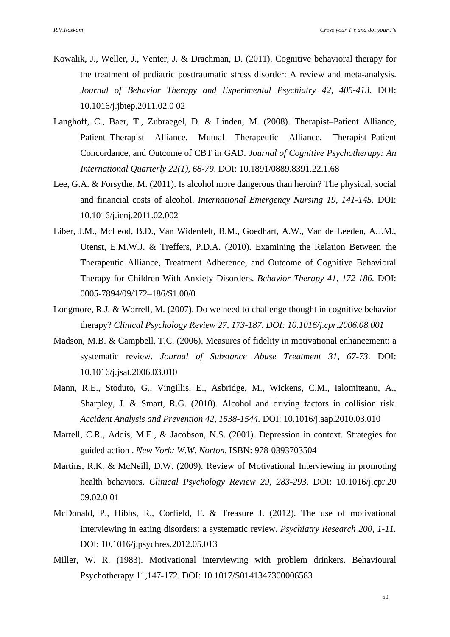- Kowalik, J., Weller, J., Venter, J. & Drachman, D. (2011). Cognitive behavioral therapy for the treatment of pediatric posttraumatic stress disorder: A review and meta-analysis. *Journal of Behavior Therapy and Experimental Psychiatry 42, 405-413*. DOI: 10.1016/j.jbtep.2011.02.0 02
- Langhoff, C., Baer, T., Zubraegel, D. & Linden, M. (2008). Therapist–Patient Alliance, Patient–Therapist Alliance, Mutual Therapeutic Alliance, Therapist–Patient Concordance, and Outcome of CBT in GAD. *Journal of Cognitive Psychotherapy: An International Quarterly 22(1), 68-79*. DOI: 10.1891/0889.8391.22.1.68
- Lee, G.A. & Forsythe, M. (2011). Is alcohol more dangerous than heroin? The physical, social and financial costs of alcohol. *International Emergency Nursing 19, 141-145.* DOI: 10.1016/j.ienj.2011.02.002
- Liber, J.M., McLeod, B.D., Van Widenfelt, B.M., Goedhart, A.W., Van de Leeden, A.J.M., Utenst, E.M.W.J. & Treffers, P.D.A. (2010). Examining the Relation Between the Therapeutic Alliance, Treatment Adherence, and Outcome of Cognitive Behavioral Therapy for Children With Anxiety Disorders. *Behavior Therapy 41, 172-186.* DOI: 0005-7894/09/172–186/\$1.00/0
- Longmore, R.J. & Worrell, M. (2007). Do we need to challenge thought in cognitive behavior therapy? *Clinical Psychology Review 27, 173-187*. *DOI: 10.1016/j.cpr.2006.08.001*
- Madson, M.B. & Campbell, T.C. (2006). Measures of fidelity in motivational enhancement: a systematic review. *Journal of Substance Abuse Treatment 31, 67-73*. DOI: 10.1016/j.jsat.2006.03.010
- Mann, R.E., Stoduto, G., Vingillis, E., Asbridge, M., Wickens, C.M., Ialomiteanu, A., Sharpley, J. & Smart, R.G. (2010). Alcohol and driving factors in collision risk. *Accident Analysis and Prevention 42, 1538-1544.* DOI: 10.1016/j.aap.2010.03.010
- Martell, C.R., Addis, M.E., & Jacobson, N.S. (2001). Depression in context. Strategies for guided action . *New York: W.W. Norton*. ISBN: 978-0393703504
- Martins, R.K. & McNeill, D.W. (2009). Review of Motivational Interviewing in promoting health behaviors. *Clinical Psychology Review 29, 283-293*. DOI: 10.1016/j.cpr.20 09.02.0 01
- McDonald, P., Hibbs, R., Corfield, F. & Treasure J. (2012). The use of motivational interviewing in eating disorders: a systematic review. *Psychiatry Research 200, 1-11.* DOI: 10.1016/j.psychres.2012.05.013
- Miller, W. R. (1983). Motivational interviewing with problem drinkers. Behavioural Psychotherapy 11,147-172. DOI: 10.1017/S0141347300006583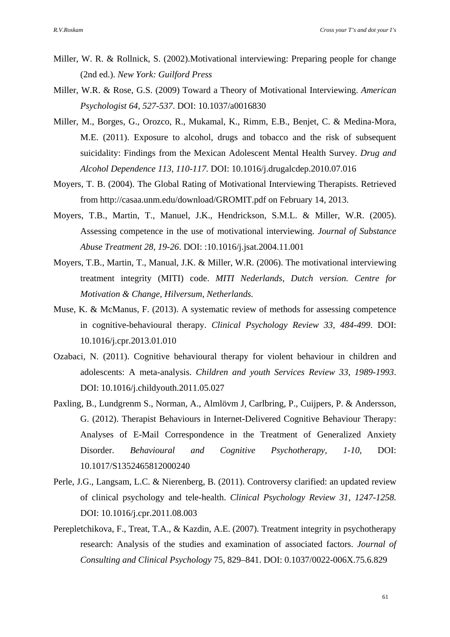- Miller, W. R. & Rollnick, S. (2002).Motivational interviewing: Preparing people for change (2nd ed.). *New York: Guilford Press*
- Miller, W.R. & Rose, G.S. (2009) Toward a Theory of Motivational Interviewing. *American Psychologist 64, 527-537*. DOI: 10.1037/a0016830
- Miller, M., Borges, G., Orozco, R., Mukamal, K., Rimm, E.B., Benjet, C. & Medina-Mora, M.E. (2011). Exposure to alcohol, drugs and tobacco and the risk of subsequent suicidality: Findings from the Mexican Adolescent Mental Health Survey. *Drug and Alcohol Dependence 113, 110-117.* DOI: 10.1016/j.drugalcdep.2010.07.016
- Moyers, T. B. (2004). The Global Rating of Motivational Interviewing Therapists. Retrieved from http://casaa.unm.edu/download/GROMIT.pdf on February 14, 2013.
- Moyers, T.B., Martin, T., Manuel, J.K., Hendrickson, S.M.L. & Miller, W.R. (2005). Assessing competence in the use of motivational interviewing. *Journal of Substance Abuse Treatment 28, 19-26*. DOI: :10.1016/j.jsat.2004.11.001
- Moyers, T.B., Martin, T., Manual, J.K. & Miller, W.R. (2006). The motivational interviewing treatment integrity (MITI) code. *MITI Nederlands, Dutch version. Centre for Motivation & Change, Hilversum, Netherlands.*
- Muse, K. & McManus, F. (2013). A systematic review of methods for assessing competence in cognitive-behavioural therapy. *Clinical Psychology Review 33, 484-499*. DOI: 10.1016/j.cpr.2013.01.010
- Ozabaci, N. (2011). Cognitive behavioural therapy for violent behaviour in children and adolescents: A meta-analysis. *Children and youth Services Review 33, 1989-1993*. DOI: 10.1016/j.childyouth.2011.05.027
- Paxling, B., Lundgrenm S., Norman, A., Almlövm J, Carlbring, P., Cuijpers, P. & Andersson, G. (2012). Therapist Behaviours in Internet-Delivered Cognitive Behaviour Therapy: Analyses of E-Mail Correspondence in the Treatment of Generalized Anxiety Disorder. *Behavioural and Cognitive Psychotherapy, 1-10*, DOI: 10.1017/S1352465812000240
- Perle, J.G., Langsam, L.C. & Nierenberg, B. (2011). Controversy clarified: an updated review of clinical psychology and tele-health. *Clinical Psychology Review 31, 1247-1258.* DOI: 10.1016/j.cpr.2011.08.003
- Perepletchikova, F., Treat, T.A., & Kazdin, A.E. (2007). Treatment integrity in psychotherapy research: Analysis of the studies and examination of associated factors. *Journal of Consulting and Clinical Psychology* 75, 829–841. DOI: 0.1037/0022-006X.75.6.829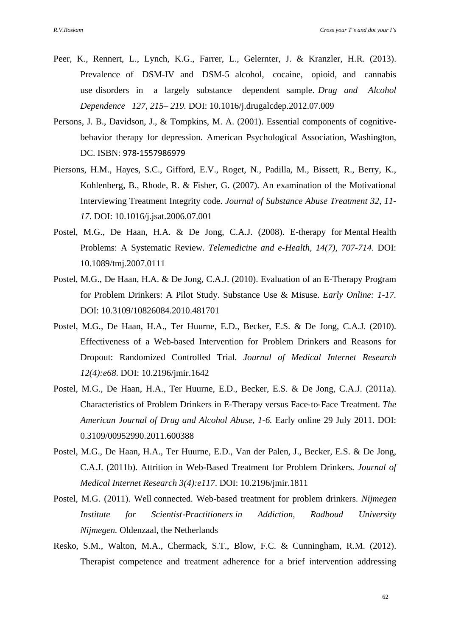- Peer, K., Rennert, L., Lynch, K.G., Farrer, L., Gelernter, J. & Kranzler, H.R. (2013). Prevalence of DSM-IV and DSM-5 alcohol, cocaine, opioid, and cannabis use disorders in a largely substance dependent sample. *Drug and Alcohol Dependence 127, 215– 219.* DOI: 10.1016/j.drugalcdep.2012.07.009
- Persons, J. B., Davidson, J., & Tompkins, M. A. (2001). Essential components of cognitivebehavior therapy for depression. American Psychological Association, Washington, DC. ISBN: 978‐1557986979
- Piersons, H.M., Hayes, S.C., Gifford, E.V., Roget, N., Padilla, M., Bissett, R., Berry, K., Kohlenberg, B., Rhode, R. & Fisher, G. (2007). An examination of the Motivational Interviewing Treatment Integrity code. *Journal of Substance Abuse Treatment 32, 11- 17*. DOI: 10.1016/j.jsat.2006.07.001
- Postel, M.G., De Haan, H.A. & De Jong, C.A.J. (2008). E-therapy for Mental Health Problems: A Systematic Review. *Telemedicine and e-Health, 14(7), 707-714*. DOI: 10.1089/tmj.2007.0111
- Postel, M.G., De Haan, H.A. & De Jong, C.A.J. (2010). Evaluation of an E-Therapy Program for Problem Drinkers: A Pilot Study. Substance Use & Misuse. *Early Online: 1-17.* DOI: 10.3109/10826084.2010.481701
- Postel, M.G., De Haan, H.A., Ter Huurne, E.D., Becker, E.S. & De Jong, C.A.J. (2010). Effectiveness of a Web-based Intervention for Problem Drinkers and Reasons for Dropout: Randomized Controlled Trial. *Journal of Medical Internet Research 12(4):e68*. DOI: 10.2196/jmir.1642
- Postel, M.G., De Haan, H.A., Ter Huurne, E.D., Becker, E.S. & De Jong, C.A.J. (2011a). Characteristics of Problem Drinkers in E‐Therapy versus Face‐to‐Face Treatment. *The American Journal of Drug and Alcohol Abuse, 1-6.* Early online 29 July 2011. DOI: 0.3109/00952990.2011.600388
- Postel, M.G., De Haan, H.A., Ter Huurne, E.D., Van der Palen, J., Becker, E.S. & De Jong, C.A.J. (2011b). Attrition in Web-Based Treatment for Problem Drinkers. *Journal of Medical Internet Research 3(4):e117*. DOI: 10.2196/jmir.1811
- Postel, M.G. (2011). Well connected. Web-based treatment for problem drinkers. *Nijmegen Institute for Scientist*‐*Practitioners in Addiction, Radboud University Nijmegen.* Oldenzaal, the Netherlands
- Resko, S.M., Walton, M.A., Chermack, S.T., Blow, F.C. & Cunningham, R.M. (2012). Therapist competence and treatment adherence for a brief intervention addressing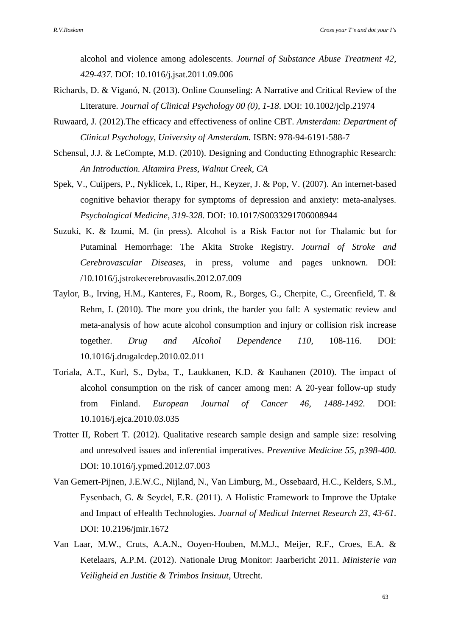alcohol and violence among adolescents. *Journal of Substance Abuse Treatment 42, 429-437.* DOI: 10.1016/j.jsat.2011.09.006

- Richards, D. & Viganó, N. (2013). Online Counseling: A Narrative and Critical Review of the Literature. *Journal of Clinical Psychology 00 (0), 1-18*. DOI: 10.1002/jclp.21974
- Ruwaard, J. (2012).The efficacy and effectiveness of online CBT. *Amsterdam: Department of Clinical Psychology, University of Amsterdam.* ISBN: 978-94-6191-588-7
- Schensul, J.J. & LeCompte, M.D. (2010). Designing and Conducting Ethnographic Research: *An Introduction. Altamira Press, Walnut Creek, CA*
- Spek, V., Cuijpers, P., Nyklicek, I., Riper, H., Keyzer, J. & Pop, V. (2007). An internet-based cognitive behavior therapy for symptoms of depression and anxiety: meta-analyses. *Psychological Medicine, 319-328*. DOI: 10.1017/S0033291706008944
- Suzuki, K. & Izumi, M. (in press). Alcohol is a Risk Factor not for Thalamic but for Putaminal Hemorrhage: The Akita Stroke Registry. *Journal of Stroke and Cerebrovascular Diseases*, in press, volume and pages unknown. DOI: /10.1016/j.jstrokecerebrovasdis.2012.07.009
- Taylor, B., Irving, H.M., Kanteres, F., Room, R., Borges, G., Cherpite, C., Greenfield, T. & Rehm, J. (2010). The more you drink, the harder you fall: A systematic review and meta-analysis of how acute alcohol consumption and injury or collision risk increase together. *Drug and Alcohol Dependence 110*, 108-116. DOI: 10.1016/j.drugalcdep.2010.02.011
- Toriala, A.T., Kurl, S., Dyba, T., Laukkanen, K.D. & Kauhanen (2010). The impact of alcohol consumption on the risk of cancer among men: A 20-year follow-up study from Finland. *European Journal of Cancer 46*, *1488-1492.* DOI: 10.1016/j.ejca.2010.03.035
- Trotter II, Robert T. (2012). Qualitative research sample design and sample size: resolving and unresolved issues and inferential imperatives. *Preventive Medicine 55, p398-400*. DOI: 10.1016/j.ypmed.2012.07.003
- Van Gemert-Pijnen, J.E.W.C., Nijland, N., Van Limburg, M., Ossebaard, H.C., Kelders, S.M., Eysenbach, G. & Seydel, E.R. (2011). A Holistic Framework to Improve the Uptake and Impact of eHealth Technologies. *Journal of Medical Internet Research 23, 43-61*. DOI: 10.2196/jmir.1672
- Van Laar, M.W., Cruts, A.A.N., Ooyen-Houben, M.M.J., Meijer, R.F., Croes, E.A. & Ketelaars, A.P.M. (2012). Nationale Drug Monitor: Jaarbericht 2011. *Ministerie van Veiligheid en Justitie & Trimbos Insituut*, Utrecht.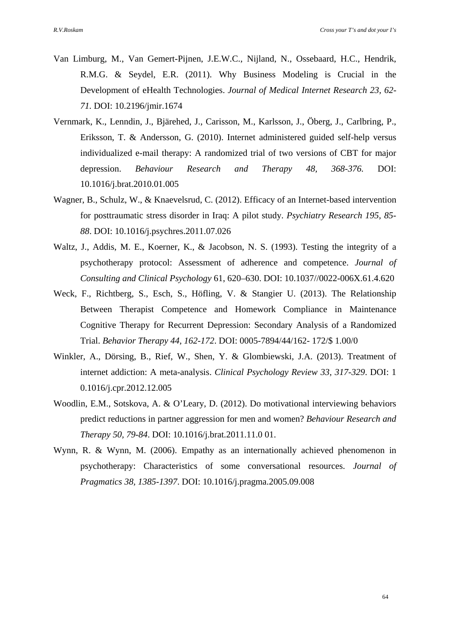- Van Limburg, M., Van Gemert-Pijnen, J.E.W.C., Nijland, N., Ossebaard, H.C., Hendrik, R.M.G. & Seydel, E.R. (2011). Why Business Modeling is Crucial in the Development of eHealth Technologies. *Journal of Medical Internet Research 23, 62- 71.* DOI: 10.2196/jmir.1674
- Vernmark, K., Lenndin, J., Bjärehed, J., Carisson, M., Karlsson, J., Öberg, J., Carlbring, P., Eriksson, T. & Andersson, G. (2010). Internet administered guided self-help versus individualized e-mail therapy: A randomized trial of two versions of CBT for major depression. *Behaviour Research and Therapy 48, 368-376.* DOI: 10.1016/j.brat.2010.01.005
- Wagner, B., Schulz, W., & Knaevelsrud, C. (2012). Efficacy of an Internet-based intervention for posttraumatic stress disorder in Iraq: A pilot study. *Psychiatry Research 195, 85- 88*. DOI: 10.1016/j.psychres.2011.07.026
- Waltz, J., Addis, M. E., Koerner, K., & Jacobson, N. S. (1993). Testing the integrity of a psychotherapy protocol: Assessment of adherence and competence. *Journal of Consulting and Clinical Psychology* 61, 620–630. DOI: 10.1037//0022-006X.61.4.620
- Weck, F., Richtberg, S., Esch, S., Höfling, V. & Stangier U. (2013). The Relationship Between Therapist Competence and Homework Compliance in Maintenance Cognitive Therapy for Recurrent Depression: Secondary Analysis of a Randomized Trial. *Behavior Therapy 44, 162-172*. DOI: 0005-7894/44/162- 172/\$ 1.00/0
- Winkler, A., Dörsing, B., Rief, W., Shen, Y. & Glombiewski, J.A. (2013). Treatment of internet addiction: A meta-analysis. *Clinical Psychology Review 33, 317-329*. DOI: 1 0.1016/j.cpr.2012.12.005
- Woodlin, E.M., Sotskova, A. & O'Leary, D. (2012). Do motivational interviewing behaviors predict reductions in partner aggression for men and women? *Behaviour Research and Therapy 50, 79-84*. DOI: 10.1016/j.brat.2011.11.0 01.
- Wynn, R. & Wynn, M. (2006). Empathy as an internationally achieved phenomenon in psychotherapy: Characteristics of some conversational resources. *Journal of Pragmatics 38, 1385-1397*. DOI: 10.1016/j.pragma.2005.09.008